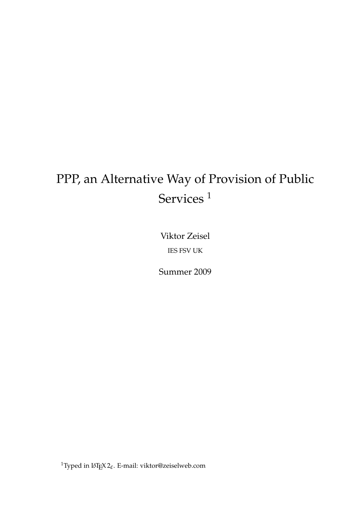# PPP, an Alternative Way of Provision of Public Services<sup>1</sup>

Viktor Zeisel IES FSV UK

Summer 2009

 $^1$ Typed in L<sup>AT</sup>EX 2 $_{\mathcal{E}}$ . E-mail: viktor@zeiselweb.com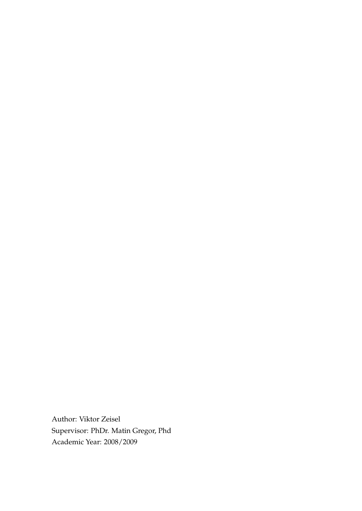Author: Viktor Zeisel Supervisor: PhDr. Matin Gregor, Phd Academic Year: 2008/2009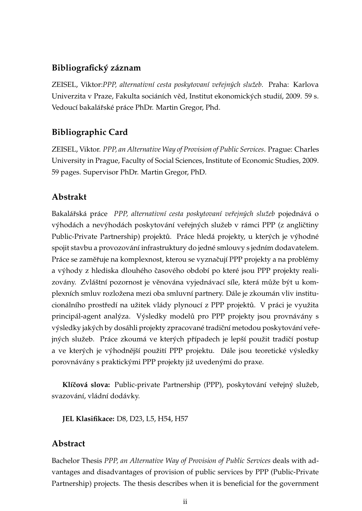## **Bibliografický záznam**

ZEISEL, Viktor:*PPP, alternativní cesta poskytovaní veˇrejných služeb*. Praha: Karlova Univerzita v Praze, Fakulta sociáních věd, Institut ekonomických studií, 2009. 59 s. Vedoucí bakalářské práce PhDr. Martin Gregor, Phd.

# **Bibliographic Card**

ZEISEL, Viktor. *PPP, an Alternative Way of Provision of Public Services*. Prague: Charles University in Prague, Faculty of Social Sciences, Institute of Economic Studies, 2009. 59 pages. Supervisor PhDr. Martin Gregor, PhD.

## **Abstrakt**

Bakalářská práce *PPP, alternativní cesta poskytovaní veřejných služeb* pojednává o výhodách a nevýhodách poskytování veřejných služeb v rámci PPP (z angličtiny Public-Private Partnership) projektů. Práce hledá projekty, u kterých je výhodné spojit stavbu a provozování infrastruktury do jedné smlouvy s jedním dodavatelem. Práce se zaměřuje na komplexnost, kterou se vyznačují PPP projekty a na problémy a výhody z hlediska dlouhého časového období po které jsou PPP projekty realizovány. Zvláštní pozornost je věnována vyjednávací síle, která může být u komplexních smluv rozložena mezi oba smluvní partnery. Dále je zkoumán vliv institucionálního prostředí na užitek vlády plynoucí z PPP projektů. V práci je využita principál-agent analýza. Výsledky modelů pro PPP projekty jsou provnávány s výsledky jakých by dosáhli projekty zpracované tradiční metodou poskytování veřejných služeb. Práce zkoumá ve kterých případech je lepší použit tradičí postup a ve kterých je výhodnější použití PPP projektu. Dále jsou teoretické výsledky porovnávány s praktickými PPP projekty již uvedenými do praxe.

Klíčová slova: Public-private Partnership (PPP), poskytování veřejný služeb, svazování, vládní dodávky.

**JEL Klasifikace:** D8, D23, L5, H54, H57

## **Abstract**

Bachelor Thesis *PPP, an Alternative Way of Provision of Public Services* deals with advantages and disadvantages of provision of public services by PPP (Public-Private Partnership) projects. The thesis describes when it is beneficial for the government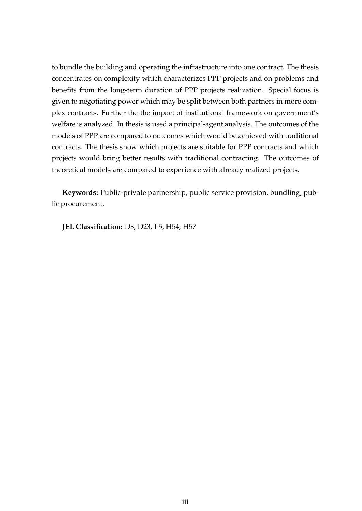to bundle the building and operating the infrastructure into one contract. The thesis concentrates on complexity which characterizes PPP projects and on problems and benefits from the long-term duration of PPP projects realization. Special focus is given to negotiating power which may be split between both partners in more complex contracts. Further the the impact of institutional framework on government's welfare is analyzed. In thesis is used a principal-agent analysis. The outcomes of the models of PPP are compared to outcomes which would be achieved with traditional contracts. The thesis show which projects are suitable for PPP contracts and which projects would bring better results with traditional contracting. The outcomes of theoretical models are compared to experience with already realized projects.

**Keywords:** Public-private partnership, public service provision, bundling, public procurement.

**JEL Classification:** D8, D23, L5, H54, H57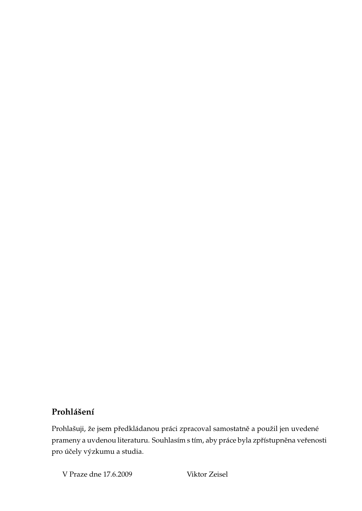## **Prohlášení**

Prohlašuji, že jsem předkládanou práci zpracoval samostatně a použil jen uvedené prameny a uvdenou literaturu. Souhlasím s tím, aby práce byla zpřístupněna veřenosti pro účely výzkumu a studia.

V Praze dne 17.6.2009 Viktor Zeisel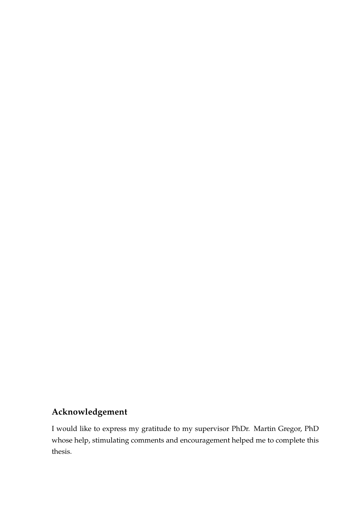# **Acknowledgement**

I would like to express my gratitude to my supervisor PhDr. Martin Gregor, PhD whose help, stimulating comments and encouragement helped me to complete this thesis.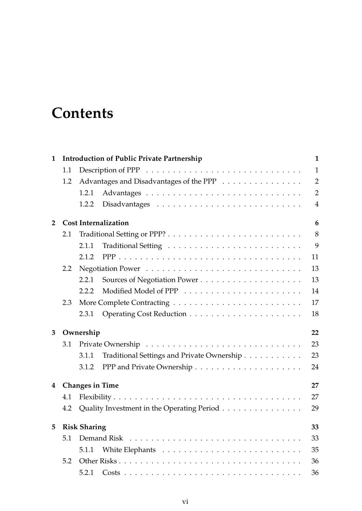# **Contents**

| $\mathbf{1}$   | <b>Introduction of Public Private Partnership</b> |                                                                                           |                                            |                |  |  |  |
|----------------|---------------------------------------------------|-------------------------------------------------------------------------------------------|--------------------------------------------|----------------|--|--|--|
|                | 1.1                                               | Description of PPP<br>$\dots\dots\dots\dots\dots\dots\dots\dots\dots\dots\dots\dots\dots$ |                                            |                |  |  |  |
|                | 1.2                                               | Advantages and Disadvantages of the PPP                                                   |                                            | $\overline{2}$ |  |  |  |
|                |                                                   | 1.2.1                                                                                     |                                            | $\overline{2}$ |  |  |  |
|                |                                                   | 1.2.2                                                                                     |                                            | $\overline{4}$ |  |  |  |
| $\overline{2}$ |                                                   | <b>Cost Internalization</b>                                                               |                                            |                |  |  |  |
|                | 2.1                                               |                                                                                           |                                            | 8              |  |  |  |
|                |                                                   | 2.1.1                                                                                     |                                            | 9              |  |  |  |
|                |                                                   | 2.1.2                                                                                     |                                            | 11             |  |  |  |
|                | $2.2^{\circ}$                                     |                                                                                           |                                            | 13             |  |  |  |
|                |                                                   | 2.2.1                                                                                     |                                            | 13             |  |  |  |
|                |                                                   | 2.2.2                                                                                     |                                            | 14             |  |  |  |
|                | 2.3                                               |                                                                                           |                                            | 17             |  |  |  |
|                |                                                   | 2.3.1                                                                                     |                                            | 18             |  |  |  |
| 3              | Ownership<br>22                                   |                                                                                           |                                            |                |  |  |  |
|                | 3.1                                               |                                                                                           |                                            |                |  |  |  |
|                |                                                   | 3.1.1                                                                                     | Traditional Settings and Private Ownership | 23             |  |  |  |
|                |                                                   | 3.1.2                                                                                     |                                            | 24             |  |  |  |
| $\overline{4}$ | <b>Changes in Time</b><br>27                      |                                                                                           |                                            |                |  |  |  |
|                | 4.1                                               |                                                                                           |                                            | 27             |  |  |  |
|                | 4.2                                               | Quality Investment in the Operating Period                                                |                                            | 29             |  |  |  |
| 5              |                                                   | <b>Risk Sharing</b>                                                                       |                                            | 33             |  |  |  |
|                | 5.1                                               |                                                                                           |                                            | 33             |  |  |  |
|                |                                                   | 5.1.1                                                                                     |                                            | 35             |  |  |  |
|                | 5.2                                               |                                                                                           |                                            | 36             |  |  |  |
|                |                                                   | 5.2.1                                                                                     |                                            | 36             |  |  |  |
|                |                                                   |                                                                                           |                                            |                |  |  |  |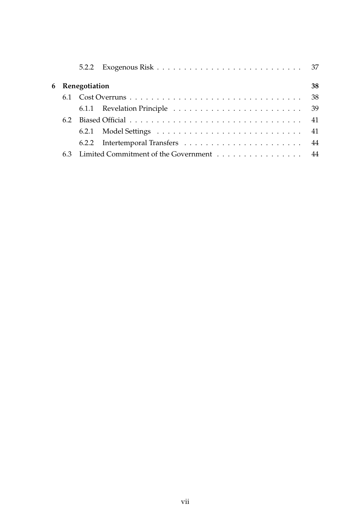|     |                 | 5.2.2 Exogenous Risk $\ldots \ldots \ldots \ldots \ldots \ldots \ldots \ldots \ldots \ldots$ 37 |    |  |
|-----|-----------------|-------------------------------------------------------------------------------------------------|----|--|
|     | 6 Renegotiation |                                                                                                 |    |  |
|     |                 |                                                                                                 | 38 |  |
|     |                 |                                                                                                 |    |  |
| 6.2 |                 |                                                                                                 |    |  |
|     |                 |                                                                                                 |    |  |
|     |                 |                                                                                                 |    |  |
|     |                 | 6.3 Limited Commitment of the Government 44                                                     |    |  |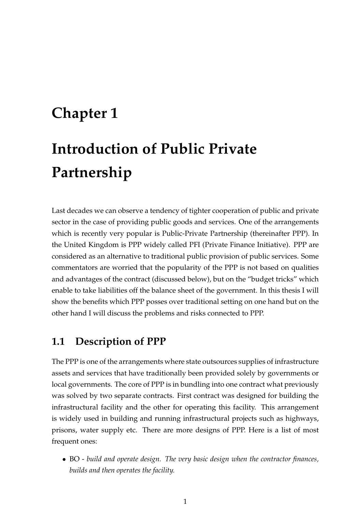# **Chapter 1**

# **Introduction of Public Private Partnership**

Last decades we can observe a tendency of tighter cooperation of public and private sector in the case of providing public goods and services. One of the arrangements which is recently very popular is Public-Private Partnership (thereinafter PPP). In the United Kingdom is PPP widely called PFI (Private Finance Initiative). PPP are considered as an alternative to traditional public provision of public services. Some commentators are worried that the popularity of the PPP is not based on qualities and advantages of the contract (discussed below), but on the "budget tricks" which enable to take liabilities off the balance sheet of the government. In this thesis I will show the benefits which PPP posses over traditional setting on one hand but on the other hand I will discuss the problems and risks connected to PPP.

# **1.1 Description of PPP**

The PPP is one of the arrangements where state outsources supplies of infrastructure assets and services that have traditionally been provided solely by governments or local governments. The core of PPP is in bundling into one contract what previously was solved by two separate contracts. First contract was designed for building the infrastructural facility and the other for operating this facility. This arrangement is widely used in building and running infrastructural projects such as highways, prisons, water supply etc. There are more designs of PPP. Here is a list of most frequent ones:

• BO - *build and operate design. The very basic design when the contractor finances, builds and then operates the facility.*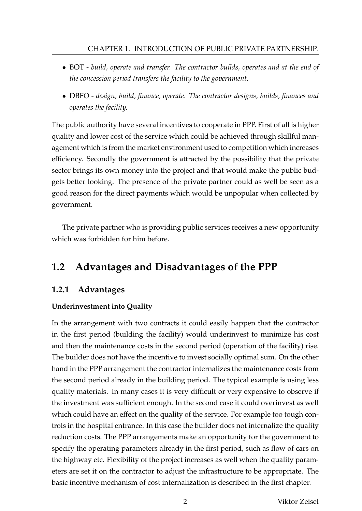#### CHAPTER 1. INTRODUCTION OF PUBLIC PRIVATE PARTNERSHIP.

- BOT *build, operate and transfer. The contractor builds, operates and at the end of the concession period transfers the facility to the government.*
- DBFO *design, build, finance, operate. The contractor designs, builds, finances and operates the facility.*

The public authority have several incentives to cooperate in PPP. First of all is higher quality and lower cost of the service which could be achieved through skillful management which is from the market environment used to competition which increases efficiency. Secondly the government is attracted by the possibility that the private sector brings its own money into the project and that would make the public budgets better looking. The presence of the private partner could as well be seen as a good reason for the direct payments which would be unpopular when collected by government.

The private partner who is providing public services receives a new opportunity which was forbidden for him before.

# **1.2 Advantages and Disadvantages of the PPP**

## **1.2.1 Advantages**

#### **Underinvestment into Quality**

In the arrangement with two contracts it could easily happen that the contractor in the first period (building the facility) would underinvest to minimize his cost and then the maintenance costs in the second period (operation of the facility) rise. The builder does not have the incentive to invest socially optimal sum. On the other hand in the PPP arrangement the contractor internalizes the maintenance costs from the second period already in the building period. The typical example is using less quality materials. In many cases it is very difficult or very expensive to observe if the investment was sufficient enough. In the second case it could overinvest as well which could have an effect on the quality of the service. For example too tough controls in the hospital entrance. In this case the builder does not internalize the quality reduction costs. The PPP arrangements make an opportunity for the government to specify the operating parameters already in the first period, such as flow of cars on the highway etc. Flexibility of the project increases as well when the quality parameters are set it on the contractor to adjust the infrastructure to be appropriate. The basic incentive mechanism of cost internalization is described in the first chapter.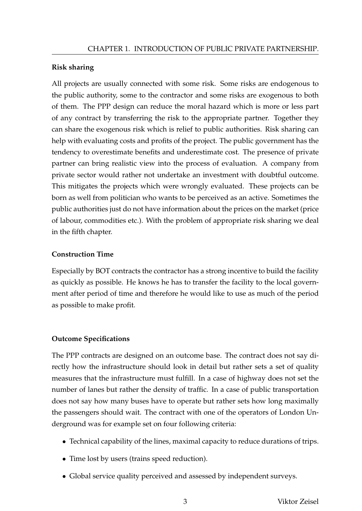#### **Risk sharing**

All projects are usually connected with some risk. Some risks are endogenous to the public authority, some to the contractor and some risks are exogenous to both of them. The PPP design can reduce the moral hazard which is more or less part of any contract by transferring the risk to the appropriate partner. Together they can share the exogenous risk which is relief to public authorities. Risk sharing can help with evaluating costs and profits of the project. The public government has the tendency to overestimate benefits and underestimate cost. The presence of private partner can bring realistic view into the process of evaluation. A company from private sector would rather not undertake an investment with doubtful outcome. This mitigates the projects which were wrongly evaluated. These projects can be born as well from politician who wants to be perceived as an active. Sometimes the public authorities just do not have information about the prices on the market (price of labour, commodities etc.). With the problem of appropriate risk sharing we deal in the fifth chapter.

## **Construction Time**

Especially by BOT contracts the contractor has a strong incentive to build the facility as quickly as possible. He knows he has to transfer the facility to the local government after period of time and therefore he would like to use as much of the period as possible to make profit.

## **Outcome Specifications**

The PPP contracts are designed on an outcome base. The contract does not say directly how the infrastructure should look in detail but rather sets a set of quality measures that the infrastructure must fulfill. In a case of highway does not set the number of lanes but rather the density of traffic. In a case of public transportation does not say how many buses have to operate but rather sets how long maximally the passengers should wait. The contract with one of the operators of London Underground was for example set on four following criteria:

- Technical capability of the lines, maximal capacity to reduce durations of trips.
- Time lost by users (trains speed reduction).
- Global service quality perceived and assessed by independent surveys.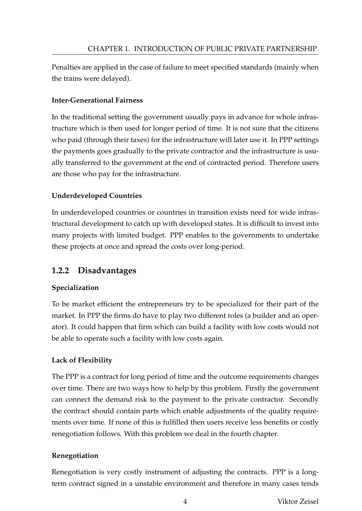Penalties are applied in the case of failure to meet specified standards (mainly when the trains were delayed).

#### **Inter-Generational Fairness**

In the traditional setting the government usually pays in advance for whole infrastructure which is then used for longer period of time. It is not sure that the citizens who paid (through their taxes) for the infrastructure will later use it. In PPP settings the payments goes gradually to the private contractor and the infrastructure is usually transferred to the government at the end of contracted period. Therefore users are those who pay for the infrastructure.

#### **Underdeveloped Countries**

In underdeveloped countries or countries in transition exists need for wide infrastructural development to catch up with developed states. It is difficult to invest into many projects with limited budget. PPP enables to the governments to undertake these projects at once and spread the costs over long-period.

# **1.2.2 Disadvantages**

## **Specialization**

To be market efficient the entrepreneurs try to be specialized for their part of the market. In PPP the firms do have to play two different roles (a builder and an operator). It could happen that firm which can build a facility with low costs would not be able to operate such a facility with low costs again.

## **Lack of Flexibility**

The PPP is a contract for long period of time and the outcome requirements changes over time. There are two ways how to help by this problem. Firstly the government can connect the demand risk to the payment to the private contractor. Secondly the contract should contain parts which enable adjustments of the quality requirements over time. If none of this is fulfilled then users receive less benefits or costly renegotiation follows. With this problem we deal in the fourth chapter.

#### **Renegotiation**

Renegotiation is very costly instrument of adjusting the contracts. PPP is a longterm contract signed in a unstable environment and therefore in many cases tends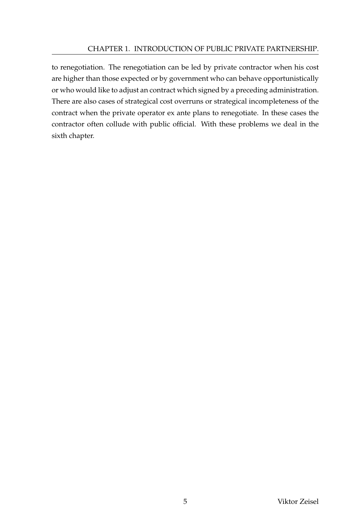#### CHAPTER 1. INTRODUCTION OF PUBLIC PRIVATE PARTNERSHIP.

to renegotiation. The renegotiation can be led by private contractor when his cost are higher than those expected or by government who can behave opportunistically or who would like to adjust an contract which signed by a preceding administration. There are also cases of strategical cost overruns or strategical incompleteness of the contract when the private operator ex ante plans to renegotiate. In these cases the contractor often collude with public official. With these problems we deal in the sixth chapter.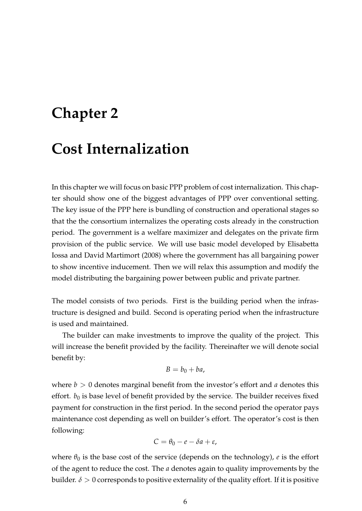# **Chapter 2**

# **Cost Internalization**

In this chapter we will focus on basic PPP problem of cost internalization. This chapter should show one of the biggest advantages of PPP over conventional setting. The key issue of the PPP here is bundling of construction and operational stages so that the the consortium internalizes the operating costs already in the construction period. The government is a welfare maximizer and delegates on the private firm provision of the public service. We will use basic model developed by Elisabetta Iossa and David Martimort (2008) where the government has all bargaining power to show incentive inducement. Then we will relax this assumption and modify the model distributing the bargaining power between public and private partner.

The model consists of two periods. First is the building period when the infrastructure is designed and build. Second is operating period when the infrastructure is used and maintained.

The builder can make investments to improve the quality of the project. This will increase the benefit provided by the facility. Thereinafter we will denote social benefit by:

$$
B=b_0+ba,
$$

where  $b > 0$  denotes marginal benefit from the investor's effort and *a* denotes this effort.  $b_0$  is base level of benefit provided by the service. The builder receives fixed payment for construction in the first period. In the second period the operator pays maintenance cost depending as well on builder's effort. The operator's cost is then following:

$$
C=\theta_0-e-\delta a+\varepsilon,
$$

where  $\theta_0$  is the base cost of the service (depends on the technology), *e* is the effort of the agent to reduce the cost. The *a* denotes again to quality improvements by the builder.  $\delta > 0$  corresponds to positive externality of the quality effort. If it is positive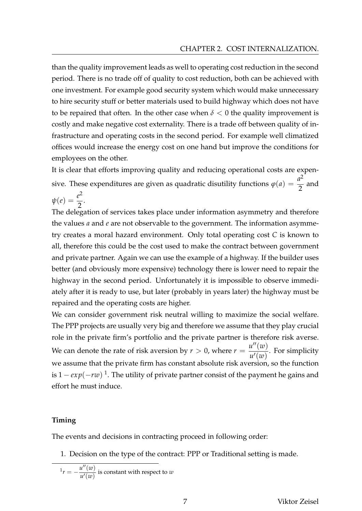than the quality improvement leads as well to operating cost reduction in the second period. There is no trade off of quality to cost reduction, both can be achieved with one investment. For example good security system which would make unnecessary to hire security stuff or better materials used to build highway which does not have to be repaired that often. In the other case when  $\delta$  < 0 the quality improvement is costly and make negative cost externality. There is a trade off between quality of infrastructure and operating costs in the second period. For example well climatized offices would increase the energy cost on one hand but improve the conditions for employees on the other.

It is clear that efforts improving quality and reducing operational costs are expensive. These expenditures are given as quadratic disutility functions  $\varphi(a) = \frac{a^2}{2}$ 2 and  $\psi(e) = \frac{e^2}{2}$ .

2 The delegation of services takes place under information asymmetry and therefore the values *a* and *e* are not observable to the government. The information asymmetry creates a moral hazard environment. Only total operating cost *C* is known to all, therefore this could be the cost used to make the contract between government and private partner. Again we can use the example of a highway. If the builder uses better (and obviously more expensive) technology there is lower need to repair the highway in the second period. Unfortunately it is impossible to observe immediately after it is ready to use, but later (probably in years later) the highway must be repaired and the operating costs are higher.

We can consider government risk neutral willing to maximize the social welfare. The PPP projects are usually very big and therefore we assume that they play crucial role in the private firm's portfolio and the private partner is therefore risk averse. We can denote the rate of risk aversion by *r* > 0, where  $r = \frac{u''(w)}{u'(w)}$  $\frac{d^2(u)}{u'(w)}$ . For simplicity we assume that the private firm has constant absolute risk aversion, so the function is 1 − *exp*(−*rw*) 1 . The utility of private partner consist of the payment he gains and effort he must induce.

#### **Timing**

The events and decisions in contracting proceed in following order:

1. Decision on the type of the contract: PPP or Traditional setting is made.

$$
{}^{1}r = -\frac{u''(w)}{u'(w)}
$$
 is constant with respect to w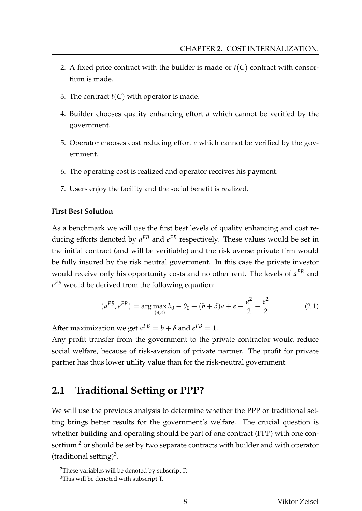- 2. A fixed price contract with the builder is made or  $t(C)$  contract with consortium is made.
- 3. The contract  $t(C)$  with operator is made.
- 4. Builder chooses quality enhancing effort *a* which cannot be verified by the government.
- 5. Operator chooses cost reducing effort *e* which cannot be verified by the government.
- 6. The operating cost is realized and operator receives his payment.
- 7. Users enjoy the facility and the social benefit is realized.

#### **First Best Solution**

As a benchmark we will use the first best levels of quality enhancing and cost reducing efforts denoted by *a FB* and *e FB* respectively. These values would be set in the initial contract (and will be verifiable) and the risk averse private firm would be fully insured by the risk neutral government. In this case the private investor would receive only his opportunity costs and no other rent. The levels of *a FB* and *e FB* would be derived from the following equation:

$$
(a^{FB}, e^{FB}) = \arg \max_{(a,e)} b_0 - \theta_0 + (b+\delta)a + e - \frac{a^2}{2} - \frac{e^2}{2}
$$
 (2.1)

After maximization we get  $a^{FB} = b + \delta$  and  $e^{FB} = 1$ .

Any profit transfer from the government to the private contractor would reduce social welfare, because of risk-aversion of private partner. The profit for private partner has thus lower utility value than for the risk-neutral government.

# **2.1 Traditional Setting or PPP?**

We will use the previous analysis to determine whether the PPP or traditional setting brings better results for the government's welfare. The crucial question is whether building and operating should be part of one contract (PPP) with one consortium  $2$  or should be set by two separate contracts with builder and with operator (traditional setting) $3$ .

<sup>2</sup>These variables will be denoted by subscript P.

 $3$ This will be denoted with subscript T.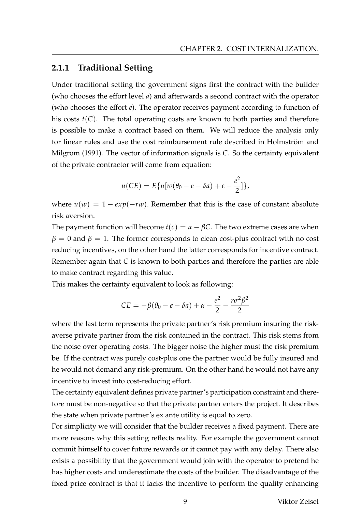#### **2.1.1 Traditional Setting**

Under traditional setting the government signs first the contract with the builder (who chooses the effort level *a*) and afterwards a second contract with the operator (who chooses the effort *e*). The operator receives payment according to function of his costs *t*(*C*). The total operating costs are known to both parties and therefore is possible to make a contract based on them. We will reduce the analysis only for linear rules and use the cost reimbursement rule described in Holmström and Milgrom (1991). The vector of information signals is *C*. So the certainty equivalent of the private contractor will come from equation:

$$
u(CE) = E\{u[w(\theta_0 - e - \delta a) + \varepsilon - \frac{e^2}{2}]\},\
$$

where  $u(w) = 1 - exp(-rw)$ . Remember that this is the case of constant absolute risk aversion.

The payment function will become  $t(c) = \alpha - \beta C$ . The two extreme cases are when  $\beta = 0$  and  $\beta = 1$ . The former corresponds to clean cost-plus contract with no cost reducing incentives, on the other hand the latter corresponds for incentive contract. Remember again that *C* is known to both parties and therefore the parties are able to make contract regarding this value.

This makes the certainty equivalent to look as following:

$$
CE = -\beta(\theta_0 - e - \delta a) + \alpha - \frac{e^2}{2} - \frac{r\sigma^2\beta^2}{2}
$$

where the last term represents the private partner's risk premium insuring the riskaverse private partner from the risk contained in the contract. This risk stems from the noise over operating costs. The bigger noise the higher must the risk premium be. If the contract was purely cost-plus one the partner would be fully insured and he would not demand any risk-premium. On the other hand he would not have any incentive to invest into cost-reducing effort.

The certainty equivalent defines private partner's participation constraint and therefore must be non-negative so that the private partner enters the project. It describes the state when private partner's ex ante utility is equal to zero.

For simplicity we will consider that the builder receives a fixed payment. There are more reasons why this setting reflects reality. For example the government cannot commit himself to cover future rewards or it cannot pay with any delay. There also exists a possibility that the government would join with the operator to pretend he has higher costs and underestimate the costs of the builder. The disadvantage of the fixed price contract is that it lacks the incentive to perform the quality enhancing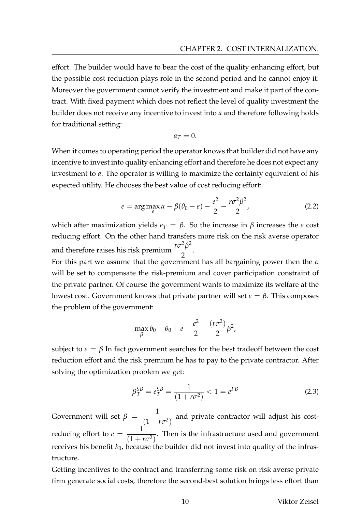effort. The builder would have to bear the cost of the quality enhancing effort, but the possible cost reduction plays role in the second period and he cannot enjoy it. Moreover the government cannot verify the investment and make it part of the contract. With fixed payment which does not reflect the level of quality investment the builder does not receive any incentive to invest into *a* and therefore following holds for traditional setting:

$$
a_T=0.
$$

When it comes to operating period the operator knows that builder did not have any incentive to invest into quality enhancing effort and therefore he does not expect any investment to *a*. The operator is willing to maximize the certainty equivalent of his expected utility. He chooses the best value of cost reducing effort:

$$
e = \arg \max_{e} \alpha - \beta(\theta_0 - e) - \frac{e^2}{2} - \frac{r\sigma^2 \beta^2}{2},
$$
 (2.2)

which after maximization yields  $e_T = \beta$ . So the increase in  $\beta$  increases the *e* cost reducing effort. On the other hand transfers more risk on the risk averse operator and therefore raises his risk premium  $\frac{r\sigma^2\beta^2}{2}$ 2 .

For this part we assume that the government has all bargaining power then the *α* will be set to compensate the risk-premium and cover participation constraint of the private partner. Of course the government wants to maximize its welfare at the lowest cost. Government knows that private partner will set  $e = \beta$ . This composes the problem of the government:

$$
\max_{\beta} b_0 - \theta_0 + e - \frac{e^2}{2} - \frac{(r\sigma^2)}{2} \beta^2,
$$

subject to  $e = \beta$  In fact government searches for the best tradeoff between the cost reduction effort and the risk premium he has to pay to the private contractor. After solving the optimization problem we get:

$$
\beta_T^{SB} = e_T^{SB} = \frac{1}{(1 + r\sigma^2)} < 1 = e^{FB} \tag{2.3}
$$

Government will set  $\beta = \frac{1}{(1-\beta)^2}$  $\sqrt{(1 + r\sigma^2)}$  and private contractor will adjust his costreducing effort to  $e = \frac{1}{1 + e^{\frac{1}{2}} + e^{\frac{1}{2}}}$  $\sqrt{(1 + r\sigma^2)}$ . Then is the infrastructure used and government receives his benefit  $b_0$ , because the builder did not invest into quality of the infrastructure.

Getting incentives to the contract and transferring some risk on risk averse private firm generate social costs, therefore the second-best solution brings less effort than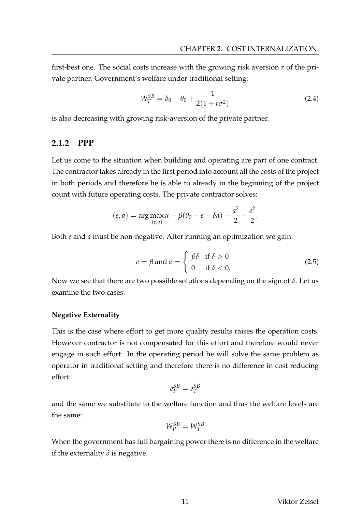first-best one. The social costs increase with the growing risk aversion *r* of the private partner. Government's welfare under traditional setting:

$$
W_T^{SB} = b_0 - \theta_0 + \frac{1}{2(1 + r\sigma^2)}
$$
 (2.4)

is also decreasing with growing risk-aversion of the private partner.

#### **2.1.2 PPP**

Let us come to the situation when building and operating are part of one contract. The contractor takes already in the first period into account all the costs of the project in both periods and therefore he is able to already in the beginning of the project count with future operating costs. The private contractor solves:

$$
(e, a) = \arg \max_{(e, a)} \alpha - \beta(\theta_0 - e - \delta a) - \frac{a^2}{2} - \frac{e^2}{2}.
$$

Both *e* and *a* must be non-negative. After running an optimization we gain:

$$
e = \beta \text{ and } a = \begin{cases} \beta \delta & \text{if } \delta > 0 \\ 0 & \text{if } \delta < 0. \end{cases}
$$
 (2.5)

Now we see that there are two possible solutions depending on the sign of *δ*. Let us examine the two cases.

#### **Negative Externality**

This is the case where effort to get more quality results raises the operation costs. However contractor is not compensated for this effort and therefore would never engage in such effort. In the operating period he will solve the same problem as operator in traditional setting and therefore there is no difference in cost reducing effort:

$$
e_P^{SB}=e_T^{SB}
$$

and the same we substitute to the welfare function and thus the welfare levels are the same:

$$
W_P^{SB} = W_T^{SB}
$$

When the government has full bargaining power there is no difference in the welfare if the externality  $\delta$  is negative.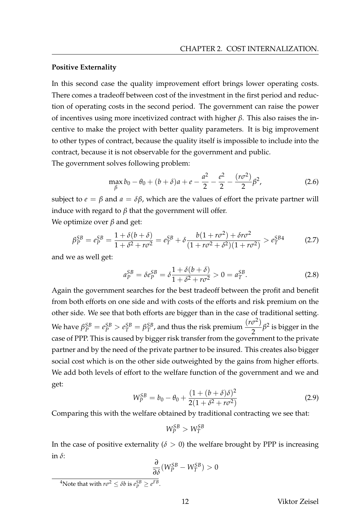#### **Positive Externality**

In this second case the quality improvement effort brings lower operating costs. There comes a tradeoff between cost of the investment in the first period and reduction of operating costs in the second period. The government can raise the power of incentives using more incetivized contract with higher *β*. This also raises the incentive to make the project with better quality parameters. It is big improvement to other types of contract, because the quality itself is impossible to include into the contract, because it is not observable for the government and public.

The government solves following problem:

$$
\max_{\beta} b_0 - \theta_0 + (b + \delta)a + e - \frac{a^2}{2} - \frac{e^2}{2} - \frac{(r\sigma^2)}{2}\beta^2,
$$
 (2.6)

subject to  $e = \beta$  and  $a = \delta\beta$ , which are the values of effort the private partner will induce with regard to  $\beta$  that the government will offer.

We optimize over *β* and get:

$$
\beta_P^{SB} = e_P^{SB} = \frac{1 + \delta(b + \delta)}{1 + \delta^2 + r\sigma^2} = e_T^{SB} + \delta \frac{b(1 + r\sigma^2) + \delta r\sigma^2}{(1 + r\sigma^2 + \delta^2)(1 + r\sigma^2)} > e_T^{SB4}
$$
(2.7)

and we as well get:

$$
a_P^{SB} = \delta e_P^{SB} = \delta \frac{1 + \delta(b + \delta)}{1 + \delta^2 + r\sigma^2} > 0 = a_T^{SB}.
$$
 (2.8)

Again the government searches for the best tradeoff between the profit and benefit from both efforts on one side and with costs of the efforts and risk premium on the other side. We see that both efforts are bigger than in the case of traditional setting.  $We have \ \beta_P^{SB} = e_P^{SB} > e_T^{SB} = \beta_T^{SB}$  $T^{SB}_{T}$ , and thus the risk premium  $\frac{(r\sigma^2)}{2}$  $\frac{\delta^{2}}{2}$   $\beta^{2}$  is bigger in the case of PPP. This is caused by bigger risk transfer from the government to the private partner and by the need of the private partner to be insured. This creates also bigger social cost which is on the other side outweighted by the gains from higher efforts. We add both levels of effort to the welfare function of the government and we and get:

$$
W_P^{SB} = b_0 - \theta_0 + \frac{(1 + (b + \delta)\delta)^2}{2(1 + \delta^2 + r\sigma^2)}
$$
(2.9)

Comparing this with the welfare obtained by traditional contracting we see that:

$$
W_P^{SB} > W_T^{SB}
$$

In the case of positive externality ( $\delta > 0$ ) the welfare brought by PPP is increasing in *δ*:

$$
\frac{\partial}{\partial \delta}(W_P^{SB}-W_T^{SB})>0
$$

<sup>&</sup>lt;sup>4</sup>Note that with  $r\sigma^2 \leq \delta b$  is  $e_P^{SB} \geq e^{FB}$ .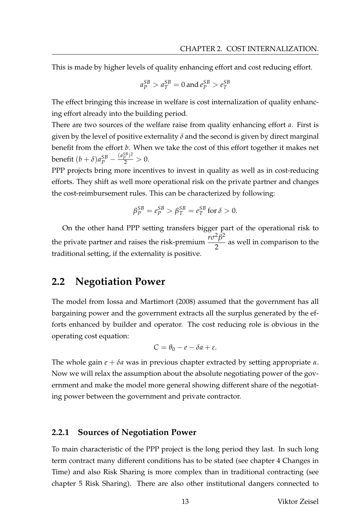This is made by higher levels of quality enhancing effort and cost reducing effort.

$$
a_P^{SB} > a_T^{SB} = 0
$$
 and 
$$
e_P^{SB} > e_T^{SB}
$$

The effect bringing this increase in welfare is cost internalization of quality enhancing effort already into the building period.

There are two sources of the welfare raise from quality enhancing effort *a*. First is given by the level of positive externality  $\delta$  and the second is given by direct marginal benefit from the effort *b*. When we take the cost of this effort together it makes net benefit  $(b + \delta)a_P^{SB} - \frac{(a_P^{SB})^2}{2} > 0$ .

PPP projects bring more incentives to invest in quality as well as in cost-reducing efforts. They shift as well more operational risk on the private partner and changes the cost-reimbursement rules. This can be characterized by following:

$$
\beta_P^{SB} = e_P^{SB} > \beta_T^{SB} = e_T^{SB} \text{ for } \delta > 0.
$$

On the other hand PPP setting transfers bigger part of the operational risk to the private partner and raises the risk-premium  $\frac{r\sigma^2\beta^2}{2}$ 2 as well in comparison to the traditional setting, if the externality is positive.

## **2.2 Negotiation Power**

The model from Iossa and Martimort (2008) assumed that the government has all bargaining power and the government extracts all the surplus generated by the efforts enhanced by builder and operator. The cost reducing role is obvious in the operating cost equation:

$$
C=\theta_0-e-\delta a+\varepsilon.
$$

The whole gain *e* + *δa* was in previous chapter extracted by setting appropriate *α*. Now we will relax the assumption about the absolute negotiating power of the government and make the model more general showing different share of the negotiating power between the government and private contractor.

#### **2.2.1 Sources of Negotiation Power**

To main characteristic of the PPP project is the long period they last. In such long term contract many different conditions has to be stated (see chapter 4 Changes in Time) and also Risk Sharing is more complex than in traditional contracting (see chapter 5 Risk Sharing). There are also other institutional dangers connected to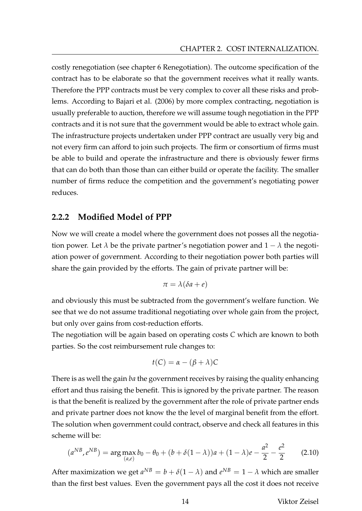costly renegotiation (see chapter 6 Renegotiation). The outcome specification of the contract has to be elaborate so that the government receives what it really wants. Therefore the PPP contracts must be very complex to cover all these risks and problems. According to Bajari et al. (2006) by more complex contracting, negotiation is usually preferable to auction, therefore we will assume tough negotiation in the PPP contracts and it is not sure that the government would be able to extract whole gain. The infrastructure projects undertaken under PPP contract are usually very big and not every firm can afford to join such projects. The firm or consortium of firms must be able to build and operate the infrastructure and there is obviously fewer firms that can do both than those than can either build or operate the facility. The smaller number of firms reduce the competition and the government's negotiating power reduces.

#### **2.2.2 Modified Model of PPP**

Now we will create a model where the government does not posses all the negotiation power. Let  $\lambda$  be the private partner's negotiation power and  $1 - \lambda$  the negotiation power of government. According to their negotiation power both parties will share the gain provided by the efforts. The gain of private partner will be:

$$
\pi = \lambda(\delta a + e)
$$

and obviously this must be subtracted from the government's welfare function. We see that we do not assume traditional negotiating over whole gain from the project, but only over gains from cost-reduction efforts.

The negotiation will be again based on operating costs *C* which are known to both parties. So the cost reimbursement rule changes to:

$$
t(C) = \alpha - (\beta + \lambda)C
$$

There is as well the gain *ba* the government receives by raising the quality enhancing effort and thus raising the benefit. This is ignored by the private partner. The reason is that the benefit is realized by the government after the role of private partner ends and private partner does not know the the level of marginal benefit from the effort. The solution when government could contract, observe and check all features in this scheme will be:

$$
(a^{NB}, e^{NB}) = \arg \max_{(a,e)} b_0 - \theta_0 + (b + \delta(1 - \lambda))a + (1 - \lambda)e - \frac{a^2}{2} - \frac{e^2}{2}
$$
 (2.10)

After maximization we get  $a^{NB} = b + \delta(1 - \lambda)$  and  $e^{NB} = 1 - \lambda$  which are smaller than the first best values. Even the government pays all the cost it does not receive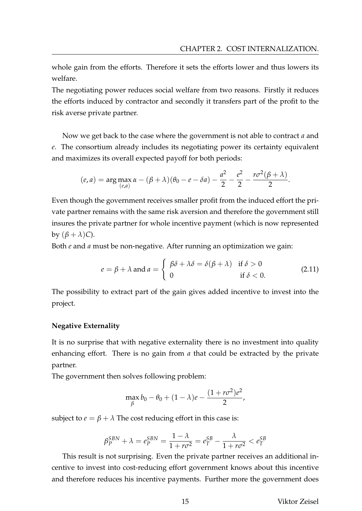whole gain from the efforts. Therefore it sets the efforts lower and thus lowers its welfare.

The negotiating power reduces social welfare from two reasons. Firstly it reduces the efforts induced by contractor and secondly it transfers part of the profit to the risk averse private partner.

Now we get back to the case where the government is not able to contract *a* and *e*. The consortium already includes its negotiating power its certainty equivalent and maximizes its overall expected payoff for both periods:

$$
(e, a) = \arg \max_{(e, a)} \alpha - (\beta + \lambda)(\theta_0 - e - \delta a) - \frac{a^2}{2} - \frac{e^2}{2} - \frac{r\sigma^2(\beta + \lambda)}{2}.
$$

Even though the government receives smaller profit from the induced effort the private partner remains with the same risk aversion and therefore the government still insures the private partner for whole incentive payment (which is now represented by  $(\beta + \lambda)C$ ).

Both *e* and *a* must be non-negative. After running an optimization we gain:

$$
e = \beta + \lambda \text{ and } a = \begin{cases} \beta \delta + \lambda \delta = \delta(\beta + \lambda) & \text{if } \delta > 0 \\ 0 & \text{if } \delta < 0. \end{cases}
$$
 (2.11)

The possibility to extract part of the gain gives added incentive to invest into the project.

#### **Negative Externality**

It is no surprise that with negative externality there is no investment into quality enhancing effort. There is no gain from *a* that could be extracted by the private partner.

The government then solves following problem:

$$
\max_{\beta} b_0 - \theta_0 + (1 - \lambda)e - \frac{(1 + r\sigma^2)e^2}{2},
$$

subject to  $e = \beta + \lambda$  The cost reducing effort in this case is:

$$
\beta_P^{SBN} + \lambda = e_P^{SBN} = \frac{1 - \lambda}{1 + r\sigma^2} = e_T^{SB} - \frac{\lambda}{1 + r\sigma^2} < e_T^{SB}
$$

This result is not surprising. Even the private partner receives an additional incentive to invest into cost-reducing effort government knows about this incentive and therefore reduces his incentive payments. Further more the government does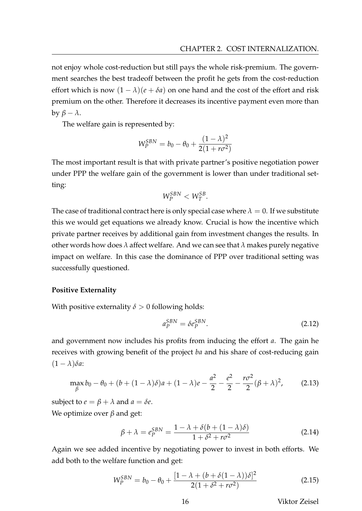not enjoy whole cost-reduction but still pays the whole risk-premium. The government searches the best tradeoff between the profit he gets from the cost-reduction effort which is now  $(1 - \lambda)(e + \delta a)$  on one hand and the cost of the effort and risk premium on the other. Therefore it decreases its incentive payment even more than by *β* − *λ*.

The welfare gain is represented by:

$$
W_P^{SBN} = b_0 - \theta_0 + \frac{(1 - \lambda)^2}{2(1 + r\sigma^2)}
$$

The most important result is that with private partner's positive negotiation power under PPP the welfare gain of the government is lower than under traditional setting:

$$
W_P^{SBN} < W_T^{SB}.
$$

The case of traditional contract here is only special case where  $\lambda = 0$ . If we substitute this we would get equations we already know. Crucial is how the incentive which private partner receives by additional gain from investment changes the results. In other words how does *λ* affect welfare. And we can see that *λ* makes purely negative impact on welfare. In this case the dominance of PPP over traditional setting was successfully questioned.

#### **Positive Externality**

With positive externality  $\delta > 0$  following holds:

$$
a_P^{SBN} = \delta e_P^{SBN}.\tag{2.12}
$$

and government now includes his profits from inducing the effort *a*. The gain he receives with growing benefit of the project *ba* and his share of cost-reducing gain  $(1 - \lambda)\delta a$ :

$$
\max_{\beta} b_0 - \theta_0 + (b + (1 - \lambda)\delta)a + (1 - \lambda)e - \frac{a^2}{2} - \frac{e^2}{2} - \frac{r\sigma^2}{2}(\beta + \lambda)^2, \tag{2.13}
$$

subject to  $e = \beta + \lambda$  and  $a = \delta e$ . We optimize over *β* and get:

$$
\beta + \lambda = e_P^{SBN} = \frac{1 - \lambda + \delta(b + (1 - \lambda)\delta)}{1 + \delta^2 + r\sigma^2}
$$
\n(2.14)

Again we see added incentive by negotiating power to invest in both efforts. We add both to the welfare function and get:

$$
W_P^{SBN} = b_0 - \theta_0 + \frac{[1 - \lambda + (b + \delta(1 - \lambda))\delta]^2}{2(1 + \delta^2 + r\sigma^2)}
$$
(2.15)

16 Viktor Zeisel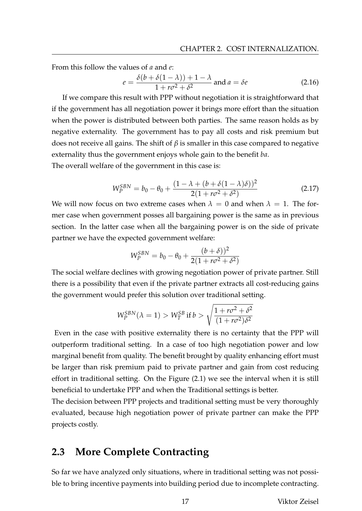From this follow the values of *a* and *e*:

$$
e = \frac{\delta(b + \delta(1 - \lambda)) + 1 - \lambda}{1 + r\sigma^2 + \delta^2}
$$
 and  $a = \delta e$  (2.16)

If we compare this result with PPP without negotiation it is straightforward that if the government has all negotiation power it brings more effort than the situation when the power is distributed between both parties. The same reason holds as by negative externality. The government has to pay all costs and risk premium but does not receive all gains. The shift of *β* is smaller in this case compared to negative externality thus the government enjoys whole gain to the benefit *ba*.

The overall welfare of the government in this case is:

$$
W_P^{SBN} = b_0 - \theta_0 + \frac{(1 - \lambda + (b + \delta(1 - \lambda)\delta))^2}{2(1 + r\sigma^2 + \delta^2)}
$$
(2.17)

We will now focus on two extreme cases when  $\lambda = 0$  and when  $\lambda = 1$ . The former case when government posses all bargaining power is the same as in previous section. In the latter case when all the bargaining power is on the side of private partner we have the expected government welfare:

$$
W_P^{SBN} = b_0 - \theta_0 + \frac{(b+\delta))^2}{2(1+r\sigma^2 + \delta^2)}
$$

The social welfare declines with growing negotiation power of private partner. Still there is a possibility that even if the private partner extracts all cost-reducing gains the government would prefer this solution over traditional setting.

$$
W_P^{SBN}(\lambda = 1) > W_T^{SB} \text{ if } b > \sqrt{\frac{1 + r\sigma^2 + \delta^2}{(1 + r\sigma^2)\delta^2}}
$$

Even in the case with positive externality there is no certainty that the PPP will outperform traditional setting. In a case of too high negotiation power and low marginal benefit from quality. The benefit brought by quality enhancing effort must be larger than risk premium paid to private partner and gain from cost reducing effort in traditional setting. On the Figure (2.1) we see the interval when it is still beneficial to undertake PPP and when the Traditional settings is better.

The decision between PPP projects and traditional setting must be very thoroughly evaluated, because high negotiation power of private partner can make the PPP projects costly.

## **2.3 More Complete Contracting**

So far we have analyzed only situations, where in traditional setting was not possible to bring incentive payments into building period due to incomplete contracting.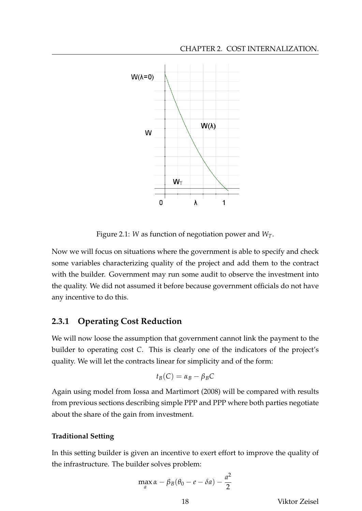

Figure 2.1: *W* as function of negotiation power and *WT*.

Now we will focus on situations where the government is able to specify and check some variables characterizing quality of the project and add them to the contract with the builder. Government may run some audit to observe the investment into the quality. We did not assumed it before because government officials do not have any incentive to do this.

## **2.3.1 Operating Cost Reduction**

We will now loose the assumption that government cannot link the payment to the builder to operating cost *C*. This is clearly one of the indicators of the project's quality. We will let the contracts linear for simplicity and of the form:

$$
t_B(C) = \alpha_B - \beta_B C
$$

Again using model from Iossa and Martimort (2008) will be compared with results from previous sections describing simple PPP and PPP where both parties negotiate about the share of the gain from investment.

#### **Traditional Setting**

In this setting builder is given an incentive to exert effort to improve the quality of the infrastructure. The builder solves problem:

$$
\max_{a} \alpha - \beta_B(\theta_0 - e - \delta a) - \frac{a^2}{2}
$$

18 Viktor Zeisel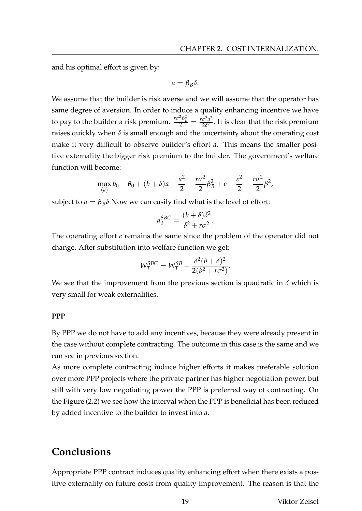and his optimal effort is given by:

$$
a=\beta_B\delta.
$$

We assume that the builder is risk averse and we will assume that the operator has same degree of aversion. In order to induce a quality enhancing incentive we have to pay to the builder a risk premium.  $\frac{r\sigma^2\beta_B^2}{2} = \frac{r\sigma^2a^2}{2\delta^2}$  $\frac{\sigma^2 a^2}{2 \delta^2}$ . It is clear that the risk premium raises quickly when  $\delta$  is small enough and the uncertainty about the operating cost make it very difficult to observe builder's effort *a*. This means the smaller positive externality the bigger risk premium to the builder. The government's welfare function will become:

$$
\max_{(a)} b_0 - \theta_0 + (b + \delta)a - \frac{a^2}{2} - \frac{r\sigma^2}{2}\beta_B^2 + e - \frac{e^2}{2} - \frac{r\sigma^2}{2}\beta^2,
$$

subject to  $a = \beta_B \delta$  Now we can easily find what is the level of effort:

$$
a_T^{SBC} = \frac{(b+\delta)\delta^2}{\delta^2 + r\sigma^2}.
$$

The operating effort *e* remains the same since the problem of the operator did not change. After substitution into welfare function we get:

$$
W_T^{SBC} = W_T^{SB} + \frac{\delta^2 (b+\delta)^2}{2(b^2+r\sigma^2)}.
$$

We see that the improvement from the previous section is quadratic in  $\delta$  which is very small for weak externalities.

#### **PPP**

By PPP we do not have to add any incentives, because they were already present in the case without complete contracting. The outcome in this case is the same and we can see in previous section.

As more complete contracting induce higher efforts it makes preferable solution over more PPP projects where the private partner has higher negotiation power, but still with very low negotiating power the PPP is preferred way of contracting. On the Figure (2.2) we see how the interval when the PPP is beneficial has been reduced by added incentive to the builder to invest into *a*.

# **Conclusions**

Appropriate PPP contract induces quality enhancing effort when there exists a positive externality on future costs from quality improvement. The reason is that the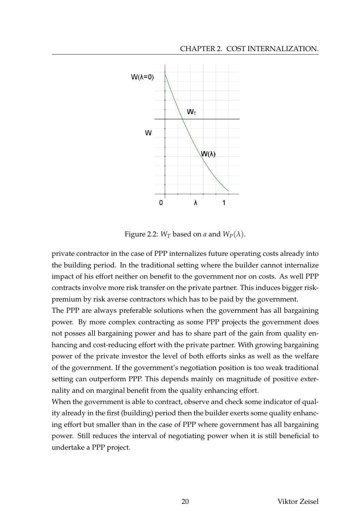

Figure 2.2:  $W_T$  based on *a* and  $W_P(\lambda)$ .

private contractor in the case of PPP internalizes future operating costs already into the building period. In the traditional setting where the builder cannot internalize impact of his effort neither on benefit to the government nor on costs. As well PPP contracts involve more risk transfer on the private partner. This induces bigger riskpremium by risk averse contractors which has to be paid by the government.

The PPP are always preferable solutions when the government has all bargaining power. By more complex contracting as some PPP projects the government does not posses all bargaining power and has to share part of the gain from quality enhancing and cost-reducing effort with the private partner. With growing bargaining power of the private investor the level of both efforts sinks as well as the welfare of the government. If the government's negotiation position is too weak traditional setting can outperform PPP. This depends mainly on magnitude of positive externality and on marginal benefit from the quality enhancing effort.

When the government is able to contract, observe and check some indicator of quality already in the first (building) period then the builder exerts some quality enhancing effort but smaller than in the case of PPP where government has all bargaining power. Still reduces the interval of negotiating power when it is still beneficial to undertake a PPP project.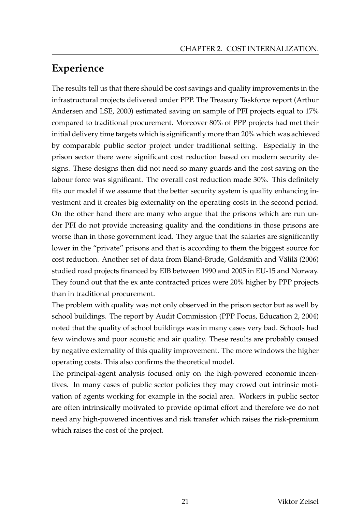# **Experience**

The results tell us that there should be cost savings and quality improvements in the infrastructural projects delivered under PPP. The Treasury Taskforce report (Arthur Andersen and LSE, 2000) estimated saving on sample of PFI projects equal to 17% compared to traditional procurement. Moreover 80% of PPP projects had met their initial delivery time targets which is significantly more than 20% which was achieved by comparable public sector project under traditional setting. Especially in the prison sector there were significant cost reduction based on modern security designs. These designs then did not need so many guards and the cost saving on the labour force was significant. The overall cost reduction made 30%. This definitely fits our model if we assume that the better security system is quality enhancing investment and it creates big externality on the operating costs in the second period. On the other hand there are many who argue that the prisons which are run under PFI do not provide increasing quality and the conditions in those prisons are worse than in those government lead. They argue that the salaries are significantly lower in the "private" prisons and that is according to them the biggest source for cost reduction. Another set of data from Bland-Brude, Goldsmith and Välilä (2006) studied road projects financed by EIB between 1990 and 2005 in EU-15 and Norway. They found out that the ex ante contracted prices were 20% higher by PPP projects than in traditional procurement.

The problem with quality was not only observed in the prison sector but as well by school buildings. The report by Audit Commission (PPP Focus, Education 2, 2004) noted that the quality of school buildings was in many cases very bad. Schools had few windows and poor acoustic and air quality. These results are probably caused by negative externality of this quality improvement. The more windows the higher operating costs. This also confirms the theoretical model.

The principal-agent analysis focused only on the high-powered economic incentives. In many cases of public sector policies they may crowd out intrinsic motivation of agents working for example in the social area. Workers in public sector are often intrinsically motivated to provide optimal effort and therefore we do not need any high-powered incentives and risk transfer which raises the risk-premium which raises the cost of the project.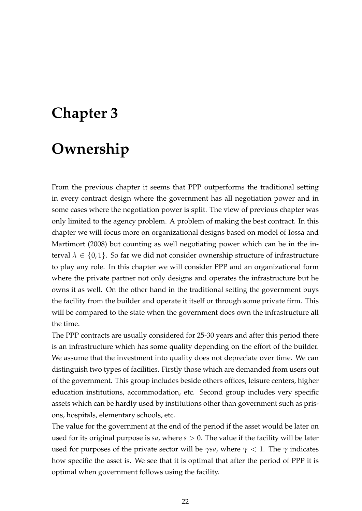# **Chapter 3**

# **Ownership**

From the previous chapter it seems that PPP outperforms the traditional setting in every contract design where the government has all negotiation power and in some cases where the negotiation power is split. The view of previous chapter was only limited to the agency problem. A problem of making the best contract. In this chapter we will focus more on organizational designs based on model of Iossa and Martimort (2008) but counting as well negotiating power which can be in the interval  $\lambda \in \{0,1\}$ . So far we did not consider ownership structure of infrastructure to play any role. In this chapter we will consider PPP and an organizational form where the private partner not only designs and operates the infrastructure but he owns it as well. On the other hand in the traditional setting the government buys the facility from the builder and operate it itself or through some private firm. This will be compared to the state when the government does own the infrastructure all the time.

The PPP contracts are usually considered for 25-30 years and after this period there is an infrastructure which has some quality depending on the effort of the builder. We assume that the investment into quality does not depreciate over time. We can distinguish two types of facilities. Firstly those which are demanded from users out of the government. This group includes beside others offices, leisure centers, higher education institutions, accommodation, etc. Second group includes very specific assets which can be hardly used by institutions other than government such as prisons, hospitals, elementary schools, etc.

The value for the government at the end of the period if the asset would be later on used for its original purpose is *sa*, where *s* > 0. The value if the facility will be later used for purposes of the private sector will be *γsa*, where  $\gamma$  < 1. The  $\gamma$  indicates how specific the asset is. We see that it is optimal that after the period of PPP it is optimal when government follows using the facility.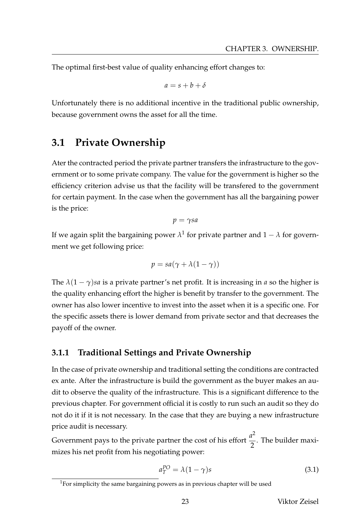The optimal first-best value of quality enhancing effort changes to:

$$
a=s+b+\delta
$$

Unfortunately there is no additional incentive in the traditional public ownership, because government owns the asset for all the time.

# **3.1 Private Ownership**

Ater the contracted period the private partner transfers the infrastructure to the government or to some private company. The value for the government is higher so the efficiency criterion advise us that the facility will be transfered to the government for certain payment. In the case when the government has all the bargaining power is the price:

$$
p = \gamma s a
$$

If we again split the bargaining power  $\lambda^1$  for private partner and  $1-\lambda$  for government we get following price:

$$
p = sa(\gamma + \lambda(1 - \gamma))
$$

The  $\lambda(1-\gamma)$ *sa* is a private partner's net profit. It is increasing in *a* so the higher is the quality enhancing effort the higher is benefit by transfer to the government. The owner has also lower incentive to invest into the asset when it is a specific one. For the specific assets there is lower demand from private sector and that decreases the payoff of the owner.

## **3.1.1 Traditional Settings and Private Ownership**

In the case of private ownership and traditional setting the conditions are contracted ex ante. After the infrastructure is build the government as the buyer makes an audit to observe the quality of the infrastructure. This is a significant difference to the previous chapter. For government official it is costly to run such an audit so they do not do it if it is not necessary. In the case that they are buying a new infrastructure price audit is necessary.

Government pays to the private partner the cost of his effort  $\frac{a^2}{2}$ 2 . The builder maximizes his net profit from his negotiating power:

$$
a_T^{PO} = \lambda (1 - \gamma)s \tag{3.1}
$$

<sup>&</sup>lt;sup>1</sup>For simplicity the same bargaining powers as in previous chapter will be used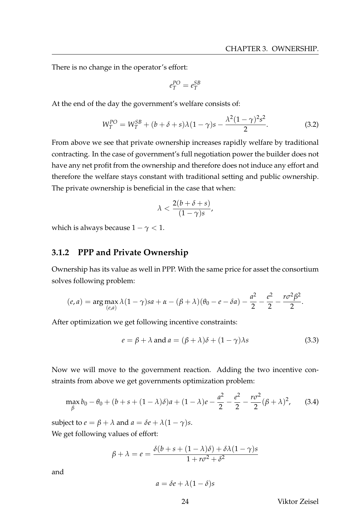There is no change in the operator's effort:

$$
e_T^{PO} = e_T^{SB}
$$

At the end of the day the government's welfare consists of:

$$
W_T^{PO} = W_T^{SB} + (b + \delta + s)\lambda(1 - \gamma)s - \frac{\lambda^2(1 - \gamma)^2 s^2}{2}.
$$
 (3.2)

From above we see that private ownership increases rapidly welfare by traditional contracting. In the case of government's full negotiation power the builder does not have any net profit from the ownership and therefore does not induce any effort and therefore the welfare stays constant with traditional setting and public ownership. The private ownership is beneficial in the case that when:

$$
\lambda < \frac{2(b+\delta+s)}{(1-\gamma)s},
$$

which is always because  $1 - \gamma < 1$ .

#### **3.1.2 PPP and Private Ownership**

Ownership has its value as well in PPP. With the same price for asset the consortium solves following problem:

$$
(e, a) = \arg \max_{(e, a)} \lambda (1 - \gamma)sa + \alpha - (\beta + \lambda)(\theta_0 - e - \delta a) - \frac{a^2}{2} - \frac{e^2}{2} - \frac{r\sigma^2 \beta^2}{2}.
$$

After optimization we get following incentive constraints:

$$
e = \beta + \lambda \text{ and } a = (\beta + \lambda)\delta + (1 - \gamma)\lambda s \tag{3.3}
$$

Now we will move to the government reaction. Adding the two incentive constraints from above we get governments optimization problem:

$$
\max_{\beta} b_0 - \theta_0 + (b + s + (1 - \lambda)\delta)a + (1 - \lambda)e - \frac{a^2}{2} - \frac{e^2}{2} - \frac{r\sigma^2}{2}(\beta + \lambda)^2, \quad (3.4)
$$

subject to  $e = \beta + \lambda$  and  $a = \delta e + \lambda (1 - \gamma)s$ .

We get following values of effort:

$$
\beta + \lambda = e = \frac{\delta(b + s + (1 - \lambda)\delta) + \delta\lambda(1 - \gamma)s}{1 + r\sigma^2 + \delta^2}
$$

and

$$
a = \delta e + \lambda (1 - \delta)s
$$

24 Viktor Zeisel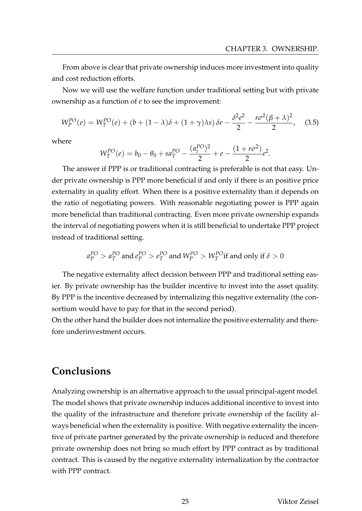From above is clear that private ownership induces more investment into quality and cost reduction efforts.

Now we will use the welfare function under traditional setting but with private ownership as a function of *e* to see the improvement:

$$
W_P^{PO}(e) = W_T^{PO}(e) + (b + (1 - \lambda)\delta + (1 + \gamma)\lambda s) \delta e - \frac{\delta^2 e^2}{2} - \frac{r\sigma^2(\beta + \lambda)^2}{2}, \quad (3.5)
$$

where

$$
W_T^{PO}(e) = b_0 - \theta_0 + sa_T^{PO} - \frac{(a_t^{PO})^2}{2} + e - \frac{(1 + r\sigma^2)}{2}e^2.
$$

The answer if PPP is or traditional contracting is preferable is not that easy. Under private ownership is PPP more beneficial if and only if there is an positive price externality in quality effort. When there is a positive externality than it depends on the ratio of negotiating powers. With reasonable negotiating power is PPP again more beneficial than traditional contracting. Even more private ownership expands the interval of negotiating powers when it is still beneficial to undertake PPP project instead of traditional setting.

$$
a_P^{PO}
$$
 >  $a_T^{PO}$  and  $e_P^{PO}$  >  $e_T^{PO}$  and  $W_P^{PO}$  >  $W_T^{PO}$  if and only if  $\delta$  > 0

The negative externality affect decision between PPP and traditional setting easier. By private ownership has the builder incentive to invest into the asset quality. By PPP is the incentive decreased by internalizing this negative externality (the consortium would have to pay for that in the second period).

On the other hand the builder does not internalize the positive externality and therefore underinvestment occurs.

# **Conclusions**

Analyzing ownership is an alternative approach to the usual principal-agent model. The model shows that private ownership induces additional incentive to invest into the quality of the infrastructure and therefore private ownership of the facility always beneficial when the externality is positive. With negative externality the incentive of private partner generated by the private ownership is reduced and therefore private ownership does not bring so much effort by PPP contract as by traditional contract. This is caused by the negative externality internalization by the contractor with PPP contract.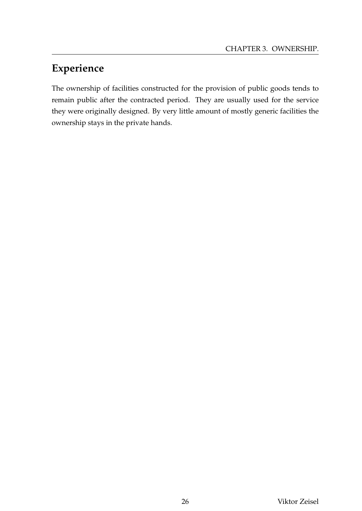# **Experience**

The ownership of facilities constructed for the provision of public goods tends to remain public after the contracted period. They are usually used for the service they were originally designed. By very little amount of mostly generic facilities the ownership stays in the private hands.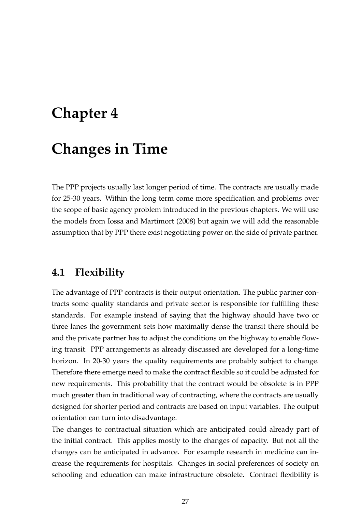# **Chapter 4**

# **Changes in Time**

The PPP projects usually last longer period of time. The contracts are usually made for 25-30 years. Within the long term come more specification and problems over the scope of basic agency problem introduced in the previous chapters. We will use the models from Iossa and Martimort (2008) but again we will add the reasonable assumption that by PPP there exist negotiating power on the side of private partner.

# **4.1 Flexibility**

The advantage of PPP contracts is their output orientation. The public partner contracts some quality standards and private sector is responsible for fulfilling these standards. For example instead of saying that the highway should have two or three lanes the government sets how maximally dense the transit there should be and the private partner has to adjust the conditions on the highway to enable flowing transit. PPP arrangements as already discussed are developed for a long-time horizon. In 20-30 years the quality requirements are probably subject to change. Therefore there emerge need to make the contract flexible so it could be adjusted for new requirements. This probability that the contract would be obsolete is in PPP much greater than in traditional way of contracting, where the contracts are usually designed for shorter period and contracts are based on input variables. The output orientation can turn into disadvantage.

The changes to contractual situation which are anticipated could already part of the initial contract. This applies mostly to the changes of capacity. But not all the changes can be anticipated in advance. For example research in medicine can increase the requirements for hospitals. Changes in social preferences of society on schooling and education can make infrastructure obsolete. Contract flexibility is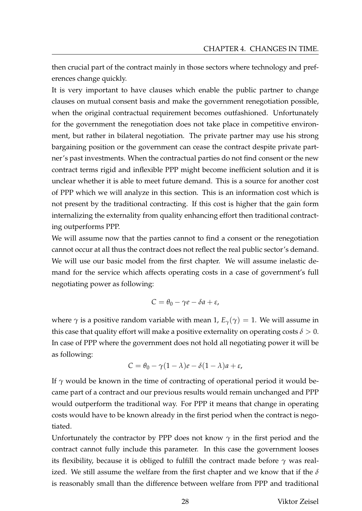then crucial part of the contract mainly in those sectors where technology and preferences change quickly.

It is very important to have clauses which enable the public partner to change clauses on mutual consent basis and make the government renegotiation possible, when the original contractual requirement becomes outfashioned. Unfortunately for the government the renegotiation does not take place in competitive environment, but rather in bilateral negotiation. The private partner may use his strong bargaining position or the government can cease the contract despite private partner's past investments. When the contractual parties do not find consent or the new contract terms rigid and inflexible PPP might become inefficient solution and it is unclear whether it is able to meet future demand. This is a source for another cost of PPP which we will analyze in this section. This is an information cost which is not present by the traditional contracting. If this cost is higher that the gain form internalizing the externality from quality enhancing effort then traditional contracting outperforms PPP.

We will assume now that the parties cannot to find a consent or the renegotiation cannot occur at all thus the contract does not reflect the real public sector's demand. We will use our basic model from the first chapter. We will assume inelastic demand for the service which affects operating costs in a case of government's full negotiating power as following:

$$
C=\theta_0-\gamma e-\delta a+\varepsilon,
$$

where  $\gamma$  is a positive random variable with mean 1,  $E_{\gamma}(\gamma) = 1$ . We will assume in this case that quality effort will make a positive externality on operating costs  $\delta > 0$ . In case of PPP where the government does not hold all negotiating power it will be as following:

$$
C = \theta_0 - \gamma (1 - \lambda)e - \delta (1 - \lambda)a + \varepsilon,
$$

If  $\gamma$  would be known in the time of contracting of operational period it would became part of a contract and our previous results would remain unchanged and PPP would outperform the traditional way. For PPP it means that change in operating costs would have to be known already in the first period when the contract is negotiated.

Unfortunately the contractor by PPP does not know  $\gamma$  in the first period and the contract cannot fully include this parameter. In this case the government looses its flexibility, because it is obliged to fulfill the contract made before *γ* was realized. We still assume the welfare from the first chapter and we know that if the *δ* is reasonably small than the difference between welfare from PPP and traditional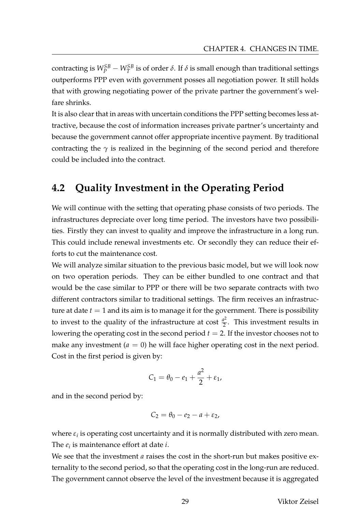contracting is  $W_P^{SB} - W_T^{SB}$  is of order  $\delta.$  If  $\delta$  is small enough than traditional settings outperforms PPP even with government posses all negotiation power. It still holds that with growing negotiating power of the private partner the government's welfare shrinks.

It is also clear that in areas with uncertain conditions the PPP setting becomes less attractive, because the cost of information increases private partner's uncertainty and because the government cannot offer appropriate incentive payment. By traditional contracting the  $\gamma$  is realized in the beginning of the second period and therefore could be included into the contract.

# **4.2 Quality Investment in the Operating Period**

We will continue with the setting that operating phase consists of two periods. The infrastructures depreciate over long time period. The investors have two possibilities. Firstly they can invest to quality and improve the infrastructure in a long run. This could include renewal investments etc. Or secondly they can reduce their efforts to cut the maintenance cost.

We will analyze similar situation to the previous basic model, but we will look now on two operation periods. They can be either bundled to one contract and that would be the case similar to PPP or there will be two separate contracts with two different contractors similar to traditional settings. The firm receives an infrastructure at date  $t = 1$  and its aim is to manage it for the government. There is possibility to invest to the quality of the infrastructure at cost  $\frac{a^2}{2}$  $\frac{1}{2}$ . This investment results in lowering the operating cost in the second period  $t = 2$ . If the investor chooses not to make any investment  $(a = 0)$  he will face higher operating cost in the next period. Cost in the first period is given by:

$$
C_1 = \theta_0 - e_1 + \frac{a^2}{2} + \varepsilon_1,
$$

and in the second period by:

$$
C_2=\theta_0-e_2-a+\varepsilon_2,
$$

where  $\varepsilon_i$  is operating cost uncertainty and it is normally distributed with zero mean. The *e<sup>i</sup>* is maintenance effort at date *i*.

We see that the investment *a* raises the cost in the short-run but makes positive externality to the second period, so that the operating cost in the long-run are reduced. The government cannot observe the level of the investment because it is aggregated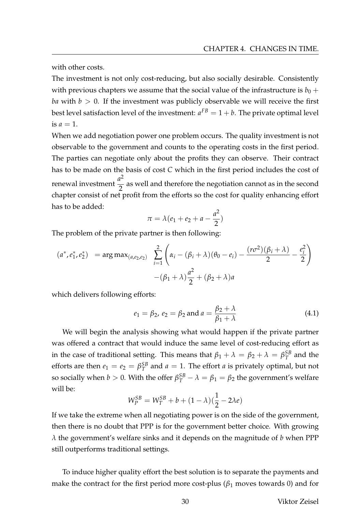with other costs.

The investment is not only cost-reducing, but also socially desirable. Consistently with previous chapters we assume that the social value of the infrastructure is  $b_0$  + *ba* with  $b > 0$ . If the investment was publicly observable we will receive the first best level satisfaction level of the investment:  $a^{FB}=1+b.$  The private optimal level is  $a=1$ .

When we add negotiation power one problem occurs. The quality investment is not observable to the government and counts to the operating costs in the first period. The parties can negotiate only about the profits they can observe. Their contract has to be made on the basis of cost *C* which in the first period includes the cost of renewal investment  $\frac{a^2}{2}$ 2 as well and therefore the negotiation cannot as in the second chapter consist of net profit from the efforts so the cost for quality enhancing effort has to be added:

$$
\pi = \lambda (e_1 + e_2 + a - \frac{a^2}{2})
$$

The problem of the private partner is then following:

$$
(a^*, e_1^*, e_2^*) = \arg \max_{(a,e_2,e_2)} \sum_{i=1}^2 \left( \alpha_i - (\beta_i + \lambda)(\theta_0 - e_i) - \frac{(r\sigma^2)(\beta_i + \lambda)}{2} - \frac{e_i^2}{2} \right)
$$

$$
-(\beta_1 + \lambda)\frac{a^2}{2} + (\beta_2 + \lambda)a
$$

which delivers following efforts:

$$
e_1 = \beta_2, e_2 = \beta_2 \text{ and } a = \frac{\beta_2 + \lambda}{\beta_1 + \lambda}
$$
 (4.1)

We will begin the analysis showing what would happen if the private partner was offered a contract that would induce the same level of cost-reducing effort as in the case of traditional setting. This means that  $\beta_1 + \lambda = \beta_2 + \lambda = \beta_T^{SB}$  $T^B$  and the efforts are then  $e_1 = e_2 = \beta_T^{SB}$  $T^{SB}_T$  and  $a = 1$ . The effort  $a$  is privately optimal, but not so socially when  $b > 0$ . With the offer  $\beta_T^{SB} - \lambda = \beta_1 = \beta_2$  the government's welfare will be:

$$
W_P^{SB} = W_T^{SB} + b + (1 - \lambda)(\frac{1}{2} - 2\lambda e)
$$

If we take the extreme when all negotiating power is on the side of the government, then there is no doubt that PPP is for the government better choice. With growing *λ* the government's welfare sinks and it depends on the magnitude of *b* when PPP still outperforms traditional settings.

To induce higher quality effort the best solution is to separate the payments and make the contract for the first period more cost-plus ( $\beta_1$  moves towards 0) and for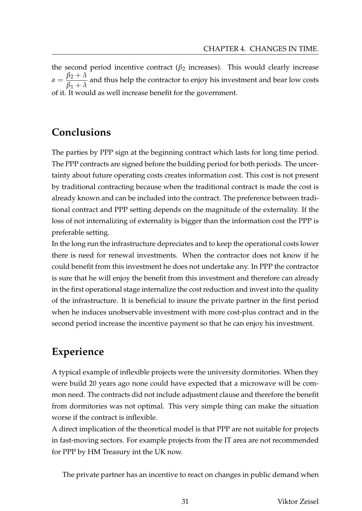the second period incentive contract ( $\beta_2$  increases). This would clearly increase  $a = \frac{\beta_2 + \lambda}{\beta_2 + \lambda}$  $\frac{\beta_1 + \lambda}{\beta_1 + \lambda}$  and thus help the contractor to enjoy his investment and bear low costs of it. It would as well increase benefit for the government.

# **Conclusions**

The parties by PPP sign at the beginning contract which lasts for long time period. The PPP contracts are signed before the building period for both periods. The uncertainty about future operating costs creates information cost. This cost is not present by traditional contracting because when the traditional contract is made the cost is already known and can be included into the contract. The preference between traditional contract and PPP setting depends on the magnitude of the externality. If the loss of not internalizing of externality is bigger than the information cost the PPP is preferable setting.

In the long run the infrastructure depreciates and to keep the operational costs lower there is need for renewal investments. When the contractor does not know if he could benefit from this investment he does not undertake any. In PPP the contractor is sure that he will enjoy the benefit from this investment and therefore can already in the first operational stage internalize the cost reduction and invest into the quality of the infrastructure. It is beneficial to insure the private partner in the first period when he induces unobservable investment with more cost-plus contract and in the second period increase the incentive payment so that he can enjoy his investment.

# **Experience**

A typical example of inflexible projects were the university dormitories. When they were build 20 years ago none could have expected that a microwave will be common need. The contracts did not include adjustment clause and therefore the benefit from dormitories was not optimal. This very simple thing can make the situation worse if the contract is inflexible.

A direct implication of the theoretical model is that PPP are not suitable for projects in fast-moving sectors. For example projects from the IT area are not recommended for PPP by HM Treasury int the UK now.

The private partner has an incentive to react on changes in public demand when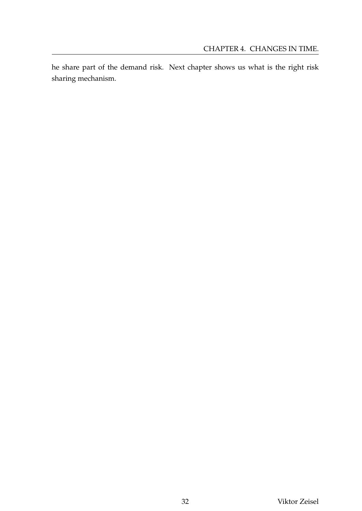he share part of the demand risk. Next chapter shows us what is the right risk sharing mechanism.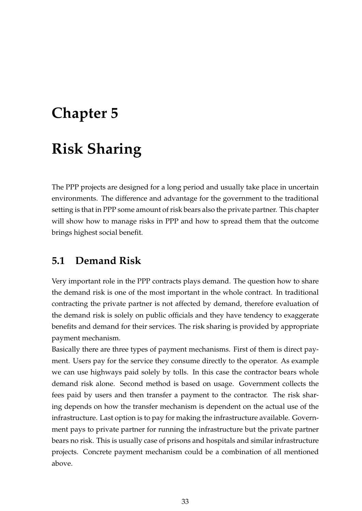# **Chapter 5**

# **Risk Sharing**

The PPP projects are designed for a long period and usually take place in uncertain environments. The difference and advantage for the government to the traditional setting is that in PPP some amount of risk bears also the private partner. This chapter will show how to manage risks in PPP and how to spread them that the outcome brings highest social benefit.

# **5.1 Demand Risk**

Very important role in the PPP contracts plays demand. The question how to share the demand risk is one of the most important in the whole contract. In traditional contracting the private partner is not affected by demand, therefore evaluation of the demand risk is solely on public officials and they have tendency to exaggerate benefits and demand for their services. The risk sharing is provided by appropriate payment mechanism.

Basically there are three types of payment mechanisms. First of them is direct payment. Users pay for the service they consume directly to the operator. As example we can use highways paid solely by tolls. In this case the contractor bears whole demand risk alone. Second method is based on usage. Government collects the fees paid by users and then transfer a payment to the contractor. The risk sharing depends on how the transfer mechanism is dependent on the actual use of the infrastructure. Last option is to pay for making the infrastructure available. Government pays to private partner for running the infrastructure but the private partner bears no risk. This is usually case of prisons and hospitals and similar infrastructure projects. Concrete payment mechanism could be a combination of all mentioned above.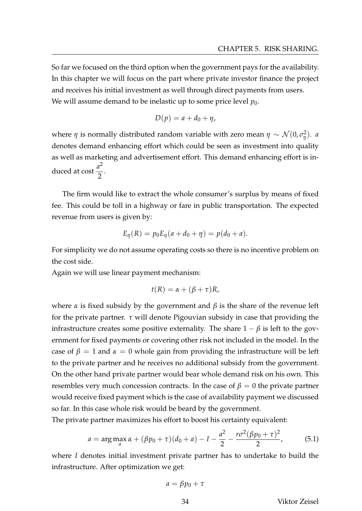So far we focused on the third option when the government pays for the availability. In this chapter we will focus on the part where private investor finance the project and receives his initial investment as well through direct payments from users. We will assume demand to be inelastic up to some price level  $p_0$ .

$$
D(p) = a + d_0 + \eta,
$$

where  $\eta$  is normally distributed random variable with zero mean  $\eta \sim \mathcal{N}(0,\sigma_{\eta}^2)$ *η* ). *a* denotes demand enhancing effort which could be seen as investment into quality as well as marketing and advertisement effort. This demand enhancing effort is induced at cost  $\frac{a^2}{2}$ 2 .

The firm would like to extract the whole consumer's surplus by means of fixed fee. This could be toll in a highway or fare in public transportation. The expected revenue from users is given by:

$$
E_{\eta}(R) = p_0 E_{\eta}(a + d_0 + \eta) = p(d_0 + a).
$$

For simplicity we do not assume operating costs so there is no incentive problem on the cost side.

Again we will use linear payment mechanism:

$$
t(R) = \alpha + (\beta + \tau)R,
$$

where  $\alpha$  is fixed subsidy by the government and  $\beta$  is the share of the revenue left for the private partner. *τ* will denote Pigouvian subsidy in case that providing the infrastructure creates some positive externality. The share  $1 - \beta$  is left to the government for fixed payments or covering other risk not included in the model. In the case of  $\beta = 1$  and  $\alpha = 0$  whole gain from providing the infrastructure will be left to the private partner and he receives no additional subsidy from the government. On the other hand private partner would bear whole demand risk on his own. This resembles very much concession contracts. In the case of  $\beta = 0$  the private partner would receive fixed payment which is the case of availability payment we discussed so far. In this case whole risk would be beard by the government.

The private partner maximizes his effort to boost his certainty equivalent:

$$
a = \arg \max_{a} \alpha + (\beta p_0 + \tau)(d_0 + a) - 1 - \frac{a^2}{2} - \frac{r\sigma^2(\beta p_0 + \tau)^2}{2},
$$
(5.1)

where *I* denotes initial investment private partner has to undertake to build the infrastructure. After optimization we get:

$$
a = \beta p_0 + \tau
$$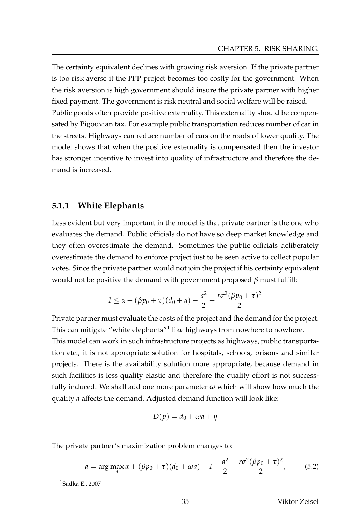The certainty equivalent declines with growing risk aversion. If the private partner is too risk averse it the PPP project becomes too costly for the government. When the risk aversion is high government should insure the private partner with higher fixed payment. The government is risk neutral and social welfare will be raised. Public goods often provide positive externality. This externality should be compensated by Pigouvian tax. For example public transportation reduces number of car in the streets. Highways can reduce number of cars on the roads of lower quality. The model shows that when the positive externality is compensated then the investor has stronger incentive to invest into quality of infrastructure and therefore the demand is increased.

#### **5.1.1 White Elephants**

Less evident but very important in the model is that private partner is the one who evaluates the demand. Public officials do not have so deep market knowledge and they often overestimate the demand. Sometimes the public officials deliberately overestimate the demand to enforce project just to be seen active to collect popular votes. Since the private partner would not join the project if his certainty equivalent would not be positive the demand with government proposed *β* must fulfill:

$$
I \le \alpha + (\beta p_0 + \tau)(d_0 + a) - \frac{a^2}{2} - \frac{r\sigma^2(\beta p_0 + \tau)^2}{2}
$$

Private partner must evaluate the costs of the project and the demand for the project. This can mitigate "white elephants" $1$  like highways from nowhere to nowhere. This model can work in such infrastructure projects as highways, public transportation etc., it is not appropriate solution for hospitals, schools, prisons and similar projects. There is the availability solution more appropriate, because demand in such facilities is less quality elastic and therefore the quality effort is not successfully induced. We shall add one more parameter *ω* which will show how much the quality *a* affects the demand. Adjusted demand function will look like:

$$
D(p) = d_0 + \omega a + \eta
$$

The private partner's maximization problem changes to:

$$
a = \arg \max_{a} \alpha + (\beta p_0 + \tau)(d_0 + \omega a) - I - \frac{a^2}{2} - \frac{r\sigma^2(\beta p_0 + \tau)^2}{2},
$$
(5.2)

35 Viktor Zeisel

<sup>1</sup>Sadka E., 2007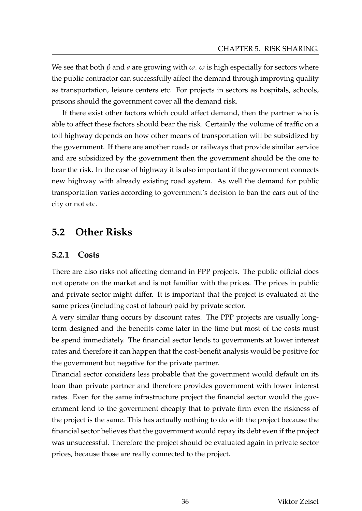We see that both *β* and *a* are growing with *ω*. *ω* is high especially for sectors where the public contractor can successfully affect the demand through improving quality as transportation, leisure centers etc. For projects in sectors as hospitals, schools, prisons should the government cover all the demand risk.

If there exist other factors which could affect demand, then the partner who is able to affect these factors should bear the risk. Certainly the volume of traffic on a toll highway depends on how other means of transportation will be subsidized by the government. If there are another roads or railways that provide similar service and are subsidized by the government then the government should be the one to bear the risk. In the case of highway it is also important if the government connects new highway with already existing road system. As well the demand for public transportation varies according to government's decision to ban the cars out of the city or not etc.

# **5.2 Other Risks**

#### **5.2.1 Costs**

There are also risks not affecting demand in PPP projects. The public official does not operate on the market and is not familiar with the prices. The prices in public and private sector might differ. It is important that the project is evaluated at the same prices (including cost of labour) paid by private sector.

A very similar thing occurs by discount rates. The PPP projects are usually longterm designed and the benefits come later in the time but most of the costs must be spend immediately. The financial sector lends to governments at lower interest rates and therefore it can happen that the cost-benefit analysis would be positive for the government but negative for the private partner.

Financial sector considers less probable that the government would default on its loan than private partner and therefore provides government with lower interest rates. Even for the same infrastructure project the financial sector would the government lend to the government cheaply that to private firm even the riskness of the project is the same. This has actually nothing to do with the project because the financial sector believes that the government would repay its debt even if the project was unsuccessful. Therefore the project should be evaluated again in private sector prices, because those are really connected to the project.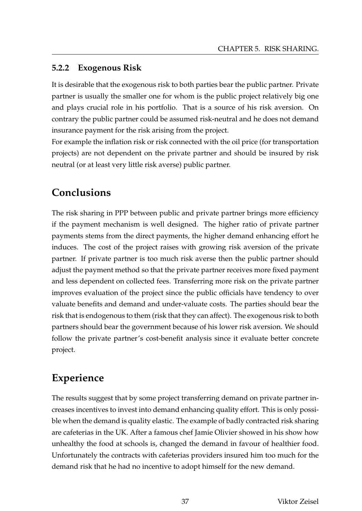## **5.2.2 Exogenous Risk**

It is desirable that the exogenous risk to both parties bear the public partner. Private partner is usually the smaller one for whom is the public project relatively big one and plays crucial role in his portfolio. That is a source of his risk aversion. On contrary the public partner could be assumed risk-neutral and he does not demand insurance payment for the risk arising from the project.

For example the inflation risk or risk connected with the oil price (for transportation projects) are not dependent on the private partner and should be insured by risk neutral (or at least very little risk averse) public partner.

# **Conclusions**

The risk sharing in PPP between public and private partner brings more efficiency if the payment mechanism is well designed. The higher ratio of private partner payments stems from the direct payments, the higher demand enhancing effort he induces. The cost of the project raises with growing risk aversion of the private partner. If private partner is too much risk averse then the public partner should adjust the payment method so that the private partner receives more fixed payment and less dependent on collected fees. Transferring more risk on the private partner improves evaluation of the project since the public officials have tendency to over valuate benefits and demand and under-valuate costs. The parties should bear the risk that is endogenous to them (risk that they can affect). The exogenous risk to both partners should bear the government because of his lower risk aversion. We should follow the private partner's cost-benefit analysis since it evaluate better concrete project.

# **Experience**

The results suggest that by some project transferring demand on private partner increases incentives to invest into demand enhancing quality effort. This is only possible when the demand is quality elastic. The example of badly contracted risk sharing are cafeterias in the UK. After a famous chef Jamie Olivier showed in his show how unhealthy the food at schools is, changed the demand in favour of healthier food. Unfortunately the contracts with cafeterias providers insured him too much for the demand risk that he had no incentive to adopt himself for the new demand.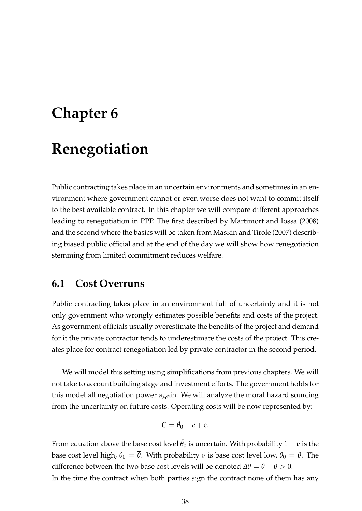# **Chapter 6**

# **Renegotiation**

Public contracting takes place in an uncertain environments and sometimes in an environment where government cannot or even worse does not want to commit itself to the best available contract. In this chapter we will compare different approaches leading to renegotiation in PPP. The first described by Martimort and Iossa (2008) and the second where the basics will be taken from Maskin and Tirole (2007) describing biased public official and at the end of the day we will show how renegotiation stemming from limited commitment reduces welfare.

## **6.1 Cost Overruns**

Public contracting takes place in an environment full of uncertainty and it is not only government who wrongly estimates possible benefits and costs of the project. As government officials usually overestimate the benefits of the project and demand for it the private contractor tends to underestimate the costs of the project. This creates place for contract renegotiation led by private contractor in the second period.

We will model this setting using simplifications from previous chapters. We will not take to account building stage and investment efforts. The government holds for this model all negotiation power again. We will analyze the moral hazard sourcing from the uncertainty on future costs. Operating costs will be now represented by:

$$
C=\tilde{\theta}_0-e+\varepsilon.
$$

From equation above the base cost level  $\tilde{\theta}_0$  is uncertain. With probability  $1 - v$  is the base cost level high,  $\theta_0 = \overline{\theta}$ . With probability *v* is base cost level low,  $\theta_0 = \underline{\theta}$ . The difference between the two base cost levels will be denoted  $\Delta\theta = \theta - \underline{\theta} > 0$ .

In the time the contract when both parties sign the contract none of them has any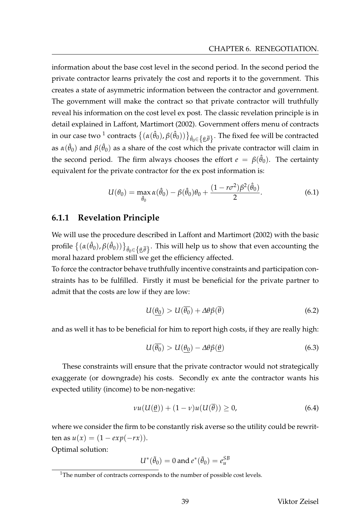information about the base cost level in the second period. In the second period the private contractor learns privately the cost and reports it to the government. This creates a state of asymmetric information between the contractor and government. The government will make the contract so that private contractor will truthfully reveal his information on the cost level ex post. The classic revelation principle is in detail explained in Laffont, Martimort (2002). Government offers menu of contracts in our case two  $^1$  contracts  $\{(\alpha(\hat\theta_0),\beta(\hat\theta_0))\}_{\hat\theta_0\in\{\underline\theta,\overline\theta\}}.$  The fixed fee will be contracted as  $\alpha(\hat{\theta}_0)$  and  $\beta(\hat{\theta}_0)$  as a share of the cost which the private contractor will claim in the second period. The firm always chooses the effort  $e = \beta(\hat{\theta}_0)$ . The certainty equivalent for the private contractor for the ex post information is:

$$
U(\theta_0) = \max_{\hat{\theta}_0} \alpha(\hat{\theta}_0) - \beta(\hat{\theta}_0)\theta_0 + \frac{(1 - r\sigma^2)\beta^2(\hat{\theta}_0)}{2}.
$$
 (6.1)

#### **6.1.1 Revelation Principle**

We will use the procedure described in Laffont and Martimort (2002) with the basic profile  $\{(\alpha(\hat{\theta}_0),\beta(\hat{\theta}_0))\}_{\hat{\theta}_0\in\{\underline{\theta},\overline{\theta}\}}.$  This will help us to show that even accounting the moral hazard problem still we get the efficiency affected.

To force the contractor behave truthfully incentive constraints and participation constraints has to be fulfilled. Firstly it must be beneficial for the private partner to admit that the costs are low if they are low:

$$
U(\underline{\theta_0}) > U(\overline{\theta_0}) + \Delta \theta \beta(\overline{\theta}) \tag{6.2}
$$

and as well it has to be beneficial for him to report high costs, if they are really high:

$$
U(\overline{\theta_0}) > U(\underline{\theta_0}) - \Delta \theta \beta(\underline{\theta}) \tag{6.3}
$$

These constraints will ensure that the private contractor would not strategically exaggerate (or downgrade) his costs. Secondly ex ante the contractor wants his expected utility (income) to be non-negative:

$$
vu(U(\underline{\theta}))+ (1-v)u(U(\overline{\theta})) \ge 0, \qquad (6.4)
$$

where we consider the firm to be constantly risk averse so the utility could be rewrit $t$ en as  $u(x) = (1 - exp(-rx)).$ 

Optimal solution:

$$
U^*(\tilde{\theta}_0) = 0 \text{ and } e^*(\tilde{\theta}_0) = e_u^{SB}
$$

<sup>&</sup>lt;sup>1</sup>The number of contracts corresponds to the number of possible cost levels.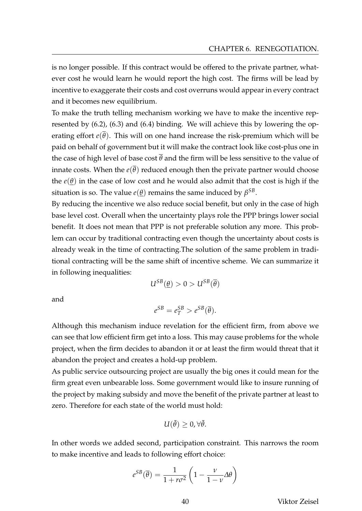is no longer possible. If this contract would be offered to the private partner, whatever cost he would learn he would report the high cost. The firms will be lead by incentive to exaggerate their costs and cost overruns would appear in every contract and it becomes new equilibrium.

To make the truth telling mechanism working we have to make the incentive represented by (6.2), (6.3) and (6.4) binding. We will achieve this by lowering the operating effort  $e(\theta)$ . This will on one hand increase the risk-premium which will be paid on behalf of government but it will make the contract look like cost-plus one in the case of high level of base cost  $\bar{\theta}$  and the firm will be less sensitive to the value of innate costs. When the  $e(\overline{\theta})$  reduced enough then the private partner would choose the  $e(\theta)$  in the case of low cost and he would also admit that the cost is high if the situation is so. The value  $e(\underline{\theta})$  remains the same induced by  $\beta^{SB}.$ 

By reducing the incentive we also reduce social benefit, but only in the case of high base level cost. Overall when the uncertainty plays role the PPP brings lower social benefit. It does not mean that PPP is not preferable solution any more. This problem can occur by traditional contracting even though the uncertainty about costs is already weak in the time of contracting.The solution of the same problem in traditional contracting will be the same shift of incentive scheme. We can summarize it in following inequalities:

$$
U^{SB}(\underline{\theta}) > 0 > U^{SB}(\overline{\theta})
$$

and

$$
e^{SB}=e_T^{SB}>e^{SB}(\overline{\theta}).
$$

Although this mechanism induce revelation for the efficient firm, from above we can see that low efficient firm get into a loss. This may cause problems for the whole project, when the firm decides to abandon it or at least the firm would threat that it abandon the project and creates a hold-up problem.

As public service outsourcing project are usually the big ones it could mean for the firm great even unbearable loss. Some government would like to insure running of the project by making subsidy and move the benefit of the private partner at least to zero. Therefore for each state of the world must hold:

$$
U(\tilde{\theta})\geq 0, \forall \tilde{\theta}.
$$

In other words we added second, participation constraint. This narrows the room to make incentive and leads to following effort choice:

$$
e^{SB}(\overline{\theta}) = \frac{1}{1 + r\sigma^2} \left(1 - \frac{\nu}{1 - \nu} \Delta \theta\right)
$$

40 Viktor Zeisel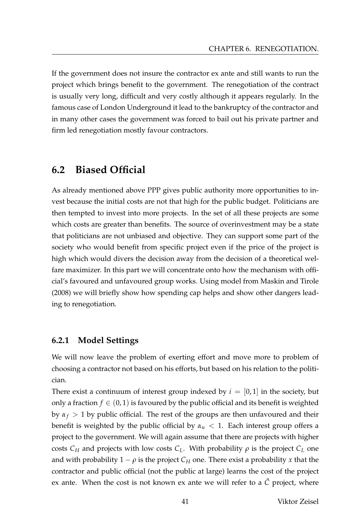If the government does not insure the contractor ex ante and still wants to run the project which brings benefit to the government. The renegotiation of the contract is usually very long, difficult and very costly although it appears regularly. In the famous case of London Underground it lead to the bankruptcy of the contractor and in many other cases the government was forced to bail out his private partner and firm led renegotiation mostly favour contractors.

## **6.2 Biased Official**

As already mentioned above PPP gives public authority more opportunities to invest because the initial costs are not that high for the public budget. Politicians are then tempted to invest into more projects. In the set of all these projects are some which costs are greater than benefits. The source of overinvestment may be a state that politicians are not unbiased and objective. They can support some part of the society who would benefit from specific project even if the price of the project is high which would divers the decision away from the decision of a theoretical welfare maximizer. In this part we will concentrate onto how the mechanism with official's favoured and unfavoured group works. Using model from Maskin and Tirole (2008) we will briefly show how spending cap helps and show other dangers leading to renegotiation.

#### **6.2.1 Model Settings**

We will now leave the problem of exerting effort and move more to problem of choosing a contractor not based on his efforts, but based on his relation to the politician.

There exist a continuum of interest group indexed by  $i = [0,1]$  in the society, but only a fraction  $f \in (0, 1)$  is favoured by the public official and its benefit is weighted by  $\alpha_f > 1$  by public official. The rest of the groups are then unfavoured and their benefit is weighted by the public official by  $\alpha_u < 1$ . Each interest group offers a project to the government. We will again assume that there are projects with higher costs  $C_H$  and projects with low costs  $C_L$ . With probability  $\rho$  is the project  $C_L$  one and with probability  $1 - \rho$  is the project  $C_H$  one. There exist a probability *x* that the contractor and public official (not the public at large) learns the cost of the project ex ante. When the cost is not known ex ante we will refer to a  $\tilde{C}$  project, where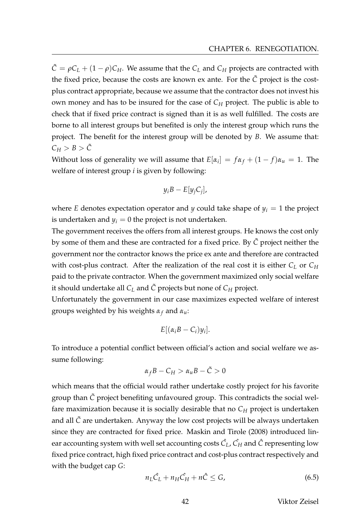$\tilde{C} = \rho C_L + (1 - \rho)C_H$ . We assume that the  $C_L$  and  $C_H$  projects are contracted with the fixed price, because the costs are known ex ante. For the  $\tilde{C}$  project is the costplus contract appropriate, because we assume that the contractor does not invest his own money and has to be insured for the case of  $C_H$  project. The public is able to check that if fixed price contract is signed than it is as well fulfilled. The costs are borne to all interest groups but benefited is only the interest group which runs the project. The benefit for the interest group will be denoted by *B*. We assume that:  $C_H > B > \tilde{C}$ 

Without loss of generality we will assume that  $E[\alpha_i] = f\alpha_f + (1 - f)\alpha_u = 1$ . The welfare of interest group *i* is given by following:

$$
y_i B - E[y_j C_j],
$$

where *E* denotes expectation operator and *y* could take shape of  $y_i = 1$  the project is undertaken and  $y_i = 0$  the project is not undertaken.

The government receives the offers from all interest groups. He knows the cost only by some of them and these are contracted for a fixed price. By *C*˜ project neither the government nor the contractor knows the price ex ante and therefore are contracted with cost-plus contract. After the realization of the real cost it is either  $C_L$  or  $C_H$ paid to the private contractor. When the government maximized only social welfare it should undertake all  $C_L$  and  $\tilde{C}$  projects but none of  $C_H$  project.

Unfortunately the government in our case maximizes expected welfare of interest groups weighted by his weights *α<sup>f</sup>* and *αu*:

$$
E[(\alpha_i B - C_i)y_i].
$$

To introduce a potential conflict between official's action and social welfare we assume following:

$$
\alpha_f B - C_H > \alpha_u B - \tilde{C} > 0
$$

which means that the official would rather undertake costly project for his favorite group than *C*˜ project benefiting unfavoured group. This contradicts the social welfare maximization because it is socially desirable that no  $C_H$  project is undertaken and all *C*˜ are undertaken. Anyway the low cost projects will be always undertaken since they are contracted for fixed price. Maskin and Tirole (2008) introduced linear accounting system with well set accounting costs  $\hat{C}_L$ ,  $\hat{C_H}$  and  $\hat{C}$  representing low fixed price contract, high fixed price contract and cost-plus contract respectively and with the budget cap *G*:

$$
n_L \hat{C}_L + n_H \hat{C}_H + n\hat{C} \le G,\tag{6.5}
$$

42 Viktor Zeisel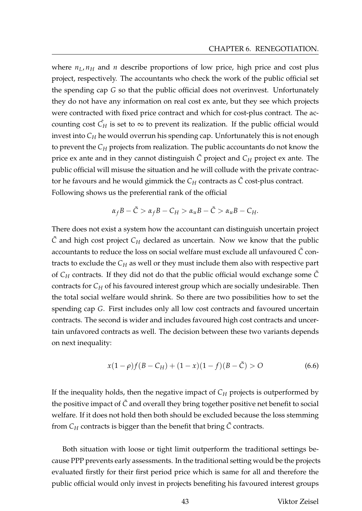where  $n_L$ ,  $n_H$  and  $n$  describe proportions of low price, high price and cost plus project, respectively. The accountants who check the work of the public official set the spending cap *G* so that the public official does not overinvest. Unfortunately they do not have any information on real cost ex ante, but they see which projects were contracted with fixed price contract and which for cost-plus contract. The accounting cost  $C_H$  is set to  $\infty$  to prevent its realization. If the public official would invest into  $C_H$  he would overrun his spending cap. Unfortunately this is not enough to prevent the *C<sup>H</sup>* projects from realization. The public accountants do not know the price ex ante and in they cannot distinguish  $\tilde{C}$  project and  $C_H$  project ex ante. The public official will misuse the situation and he will collude with the private contractor he favours and he would gimmick the  $C_H$  contracts as  $\tilde{C}$  cost-plus contract. Following shows us the preferential rank of the official

$$
\alpha_f B - \tilde{C} > \alpha_f B - C_H > \alpha_u B - \tilde{C} > \alpha_u B - C_H.
$$

There does not exist a system how the accountant can distinguish uncertain project *C*˜ and high cost project *C<sup>H</sup>* declared as uncertain. Now we know that the public accountants to reduce the loss on social welfare must exclude all unfavoured *C*˜ contracts to exclude the *C<sup>H</sup>* as well or they must include them also with respective part of  $C_H$  contracts. If they did not do that the public official would exchange some  $\tilde{C}$ contracts for *C<sup>H</sup>* of his favoured interest group which are socially undesirable. Then the total social welfare would shrink. So there are two possibilities how to set the spending cap *G*. First includes only all low cost contracts and favoured uncertain contracts. The second is wider and includes favoured high cost contracts and uncertain unfavored contracts as well. The decision between these two variants depends on next inequality:

$$
x(1 - \rho)f(B - C_H) + (1 - x)(1 - f)(B - \tilde{C}) > 0
$$
\n(6.6)

If the inequality holds, then the negative impact of *C<sup>H</sup>* projects is outperformed by the positive impact of  $\tilde{C}$  and overall they bring together positive net benefit to social welfare. If it does not hold then both should be excluded because the loss stemming from *C<sup>H</sup>* contracts is bigger than the benefit that bring *C*˜ contracts.

Both situation with loose or tight limit outperform the traditional settings because PPP prevents early assessments. In the traditional setting would be the projects evaluated firstly for their first period price which is same for all and therefore the public official would only invest in projects benefiting his favoured interest groups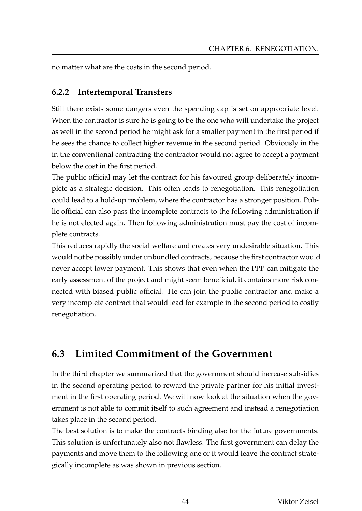no matter what are the costs in the second period.

## **6.2.2 Intertemporal Transfers**

Still there exists some dangers even the spending cap is set on appropriate level. When the contractor is sure he is going to be the one who will undertake the project as well in the second period he might ask for a smaller payment in the first period if he sees the chance to collect higher revenue in the second period. Obviously in the in the conventional contracting the contractor would not agree to accept a payment below the cost in the first period.

The public official may let the contract for his favoured group deliberately incomplete as a strategic decision. This often leads to renegotiation. This renegotiation could lead to a hold-up problem, where the contractor has a stronger position. Public official can also pass the incomplete contracts to the following administration if he is not elected again. Then following administration must pay the cost of incomplete contracts.

This reduces rapidly the social welfare and creates very undesirable situation. This would not be possibly under unbundled contracts, because the first contractor would never accept lower payment. This shows that even when the PPP can mitigate the early assessment of the project and might seem beneficial, it contains more risk connected with biased public official. He can join the public contractor and make a very incomplete contract that would lead for example in the second period to costly renegotiation.

# **6.3 Limited Commitment of the Government**

In the third chapter we summarized that the government should increase subsidies in the second operating period to reward the private partner for his initial investment in the first operating period. We will now look at the situation when the government is not able to commit itself to such agreement and instead a renegotiation takes place in the second period.

The best solution is to make the contracts binding also for the future governments. This solution is unfortunately also not flawless. The first government can delay the payments and move them to the following one or it would leave the contract strategically incomplete as was shown in previous section.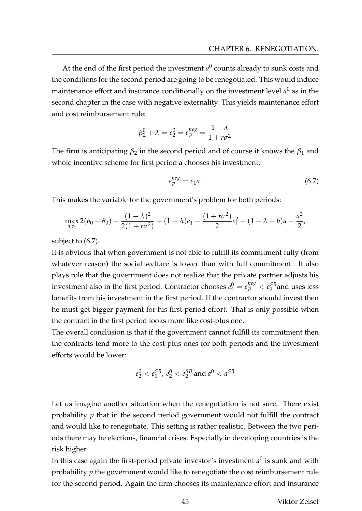At the end of the first period the investment  $a^0$  counts already to sunk costs and the conditions for the second period are going to be renegotiated. This would induce maintenance effort and insurance conditionally on the investment level  $a^0$  as in the second chapter in the case with negative externality. This yields maintenance effort and cost reimbursement rule:

$$
\beta_2^0 + \lambda = e_2^0 = e_p^{neg} = \frac{1 - \lambda}{1 + r\sigma^2}
$$

The firm is anticipating  $\beta_2$  in the second period and of course it knows the  $\beta_1$  and whole incentive scheme for first period a chooses his investment:

$$
e_P^{neg} = e_1 a. \tag{6.7}
$$

This makes the variable for the government's problem for both periods:

$$
\max_{a,e_1} 2(b_0 - \theta_0) + \frac{(1 - \lambda)^2}{2(1 + r\sigma^2)} + (1 - \lambda)e_1 - \frac{(1 + r\sigma^2)}{2}e_1^2 + (1 - \lambda + b)a - \frac{a^2}{2},
$$

subject to (6.7).

It is obvious that when government is not able to fulfill its commitment fully (from whatever reason) the social welfare is lower than with full commitment. It also plays role that the government does not realize that the private partner adjusts his investment also in the first period. Contractor chooses  $e_2^0 = e_p^{neg} < e_2^{SB}$  $_2^{5B}$  and uses less benefits from his investment in the first period. If the contractor should invest then he must get bigger payment for his first period effort. That is only possible when the contract in the first period looks more like cost-plus one.

The overall conclusion is that if the government cannot fulfill its commitment then the contracts tend more to the cost-plus ones for both periods and the investment efforts would be lower:

$$
e_2^0 < e_1^{SB}, \, e_2^0 < e_2^{SB} \text{ and } a^0 < a^{SB}
$$

Let us imagine another situation when the renegotiation is not sure. There exist probability *p* that in the second period government would not fulfill the contract and would like to renegotiate. This setting is rather realistic. Between the two periods there may be elections, financial crises. Especially in developing countries is the risk higher.

In this case again the first-period private investor's investment  $a^0$  is sunk and with probability *p* the government would like to renegotiate the cost reimbursement rule for the second period. Again the firm chooses its maintenance effort and insurance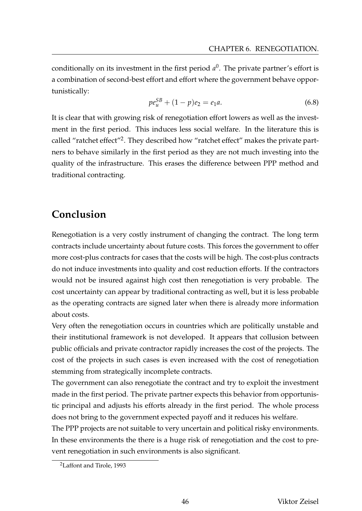conditionally on its investment in the first period *a* 0 . The private partner's effort is a combination of second-best effort and effort where the government behave opportunistically:

$$
pe_{u}^{SB} + (1 - p)e_{2} = e_{1}a.
$$
\n(6.8)

It is clear that with growing risk of renegotiation effort lowers as well as the investment in the first period. This induces less social welfare. In the literature this is called "ratchet effect"<sup>2</sup>. They described how "ratchet effect" makes the private partners to behave similarly in the first period as they are not much investing into the quality of the infrastructure. This erases the difference between PPP method and traditional contracting.

# **Conclusion**

Renegotiation is a very costly instrument of changing the contract. The long term contracts include uncertainty about future costs. This forces the government to offer more cost-plus contracts for cases that the costs will be high. The cost-plus contracts do not induce investments into quality and cost reduction efforts. If the contractors would not be insured against high cost then renegotiation is very probable. The cost uncertainty can appear by traditional contracting as well, but it is less probable as the operating contracts are signed later when there is already more information about costs.

Very often the renegotiation occurs in countries which are politically unstable and their institutional framework is not developed. It appears that collusion between public officials and private contractor rapidly increases the cost of the projects. The cost of the projects in such cases is even increased with the cost of renegotiation stemming from strategically incomplete contracts.

The government can also renegotiate the contract and try to exploit the investment made in the first period. The private partner expects this behavior from opportunistic principal and adjusts his efforts already in the first period. The whole process does not bring to the government expected payoff and it reduces his welfare.

The PPP projects are not suitable to very uncertain and political risky environments. In these environments the there is a huge risk of renegotiation and the cost to prevent renegotiation in such environments is also significant.

<sup>2</sup>Laffont and Tirole, 1993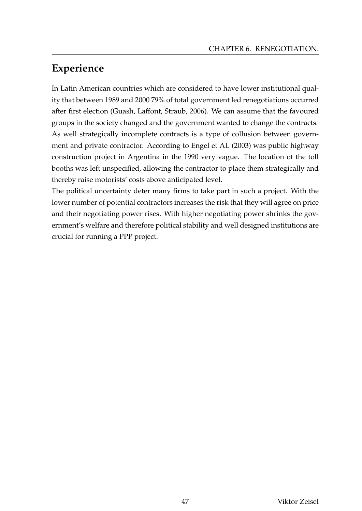# **Experience**

In Latin American countries which are considered to have lower institutional quality that between 1989 and 2000 79% of total government led renegotiations occurred after first election (Guash, Laffont, Straub, 2006). We can assume that the favoured groups in the society changed and the government wanted to change the contracts. As well strategically incomplete contracts is a type of collusion between government and private contractor. According to Engel et AL (2003) was public highway construction project in Argentina in the 1990 very vague. The location of the toll booths was left unspecified, allowing the contractor to place them strategically and thereby raise motorists' costs above anticipated level.

The political uncertainty deter many firms to take part in such a project. With the lower number of potential contractors increases the risk that they will agree on price and their negotiating power rises. With higher negotiating power shrinks the government's welfare and therefore political stability and well designed institutions are crucial for running a PPP project.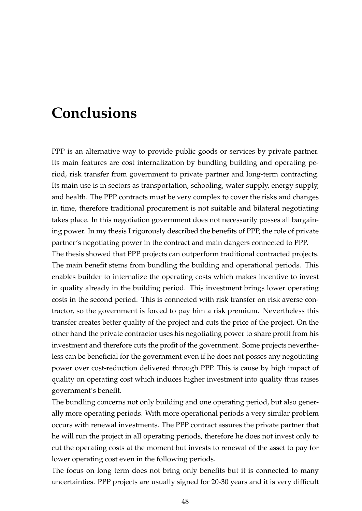# **Conclusions**

PPP is an alternative way to provide public goods or services by private partner. Its main features are cost internalization by bundling building and operating period, risk transfer from government to private partner and long-term contracting. Its main use is in sectors as transportation, schooling, water supply, energy supply, and health. The PPP contracts must be very complex to cover the risks and changes in time, therefore traditional procurement is not suitable and bilateral negotiating takes place. In this negotiation government does not necessarily posses all bargaining power. In my thesis I rigorously described the benefits of PPP, the role of private partner's negotiating power in the contract and main dangers connected to PPP.

The thesis showed that PPP projects can outperform traditional contracted projects. The main benefit stems from bundling the building and operational periods. This enables builder to internalize the operating costs which makes incentive to invest in quality already in the building period. This investment brings lower operating costs in the second period. This is connected with risk transfer on risk averse contractor, so the government is forced to pay him a risk premium. Nevertheless this transfer creates better quality of the project and cuts the price of the project. On the other hand the private contractor uses his negotiating power to share profit from his investment and therefore cuts the profit of the government. Some projects nevertheless can be beneficial for the government even if he does not posses any negotiating power over cost-reduction delivered through PPP. This is cause by high impact of quality on operating cost which induces higher investment into quality thus raises government's benefit.

The bundling concerns not only building and one operating period, but also generally more operating periods. With more operational periods a very similar problem occurs with renewal investments. The PPP contract assures the private partner that he will run the project in all operating periods, therefore he does not invest only to cut the operating costs at the moment but invests to renewal of the asset to pay for lower operating cost even in the following periods.

The focus on long term does not bring only benefits but it is connected to many uncertainties. PPP projects are usually signed for 20-30 years and it is very difficult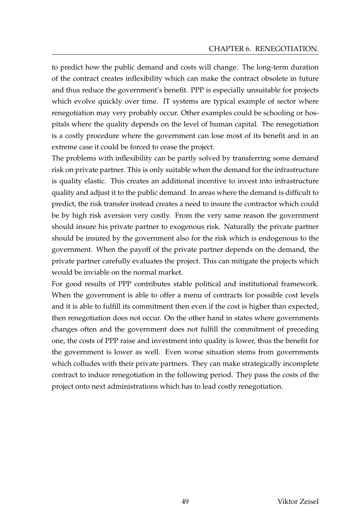to predict how the public demand and costs will change. The long-term duration of the contract creates inflexibility which can make the contract obsolete in future and thus reduce the government's benefit. PPP is especially unsuitable for projects which evolve quickly over time. IT systems are typical example of sector where renegotiation may very probably occur. Other examples could be schooling or hospitals where the quality depends on the level of human capital. The renegotiation is a costly procedure where the government can lose most of its benefit and in an extreme case it could be forced to cease the project.

The problems with inflexibility can be partly solved by transferring some demand risk on private partner. This is only suitable when the demand for the infrastructure is quality elastic. This creates an additional incentive to invest into infrastructure quality and adjust it to the public demand. In areas where the demand is difficult to predict, the risk transfer instead creates a need to insure the contractor which could be by high risk aversion very costly. From the very same reason the government should insure his private partner to exogenous risk. Naturally the private partner should be insured by the government also for the risk which is endogenous to the government. When the payoff of the private partner depends on the demand, the private partner carefully evaluates the project. This can mitigate the projects which would be inviable on the normal market.

For good results of PPP contributes stable political and institutional framework. When the government is able to offer a menu of contracts for possible cost levels and it is able to fulfill its commitment then even if the cost is higher than expected, then renegotiation does not occur. On the other hand in states where governments changes often and the government does not fulfill the commitment of preceding one, the costs of PPP raise and investment into quality is lower, thus the benefit for the government is lower as well. Even worse situation stems from governments which colludes with their private partners. They can make strategically incomplete contract to induce renegotiation in the following period. They pass the costs of the project onto next administrations which has to lead costly renegotiation.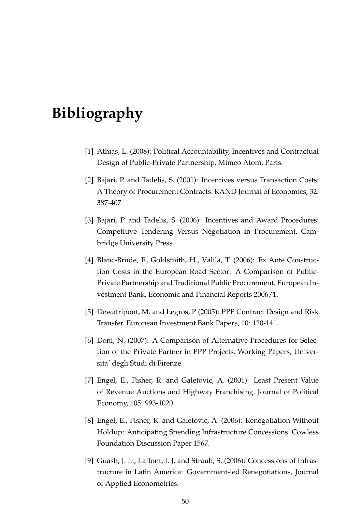# **Bibliography**

- [1] Athias, L. (2008): Political Accountability, Incentives and Contractual Design of Public-Private Partnership. Mimeo Atom, Paris.
- [2] Bajari, P. and Tadelis, S. (2001): Incentives versus Transaction Costs: A Theory of Procurement Contracts. RAND Journal of Economics, 32: 387-407
- [3] Bajari, P. and Tadelis, S. (2006): Incentives and Award Procedures: Competitive Tendering Versus Negotiation in Procurement. Cambridge University Press
- [4] Blanc-Brude, F., Goldsmith, H., Välilä, T. (2006): Ex Ante Construction Costs in the European Road Sector: A Comparison of Public-Private Partnership and Traditional Public Procurement. European Investment Bank, Economic and Financial Reports 2006/1.
- [5] Dewatripont, M. and Legros, P (2005): PPP Contract Design and Risk Transfer. European Investment Bank Papers, 10: 120-141.
- [6] Doni, N. (2007): A Comparison of Alternative Procedures for Selection of the Private Partner in PPP Projects. Working Papers, Universita' degli Studi di Firenze.
- [7] Engel, E., Fisher, R. and Galetovic, A. (2001): Least Present Value of Revenue Auctions and Highway Franchising. Journal of Political Economy, 105: 993-1020.
- [8] Engel, E., Fisher, R. and Galetovic, A. (2006): Renegotiation Without Holdup: Anticipating Spending Infrastructure Concessions. Cowless Foundation Discussion Paper 1567.
- [9] Guash, J. L., Laffont, J. J. and Straub, S. (2006): Concessions of Infrastructure in Latin America: Government-led Renegotiations, Journal of Applied Econometrics.